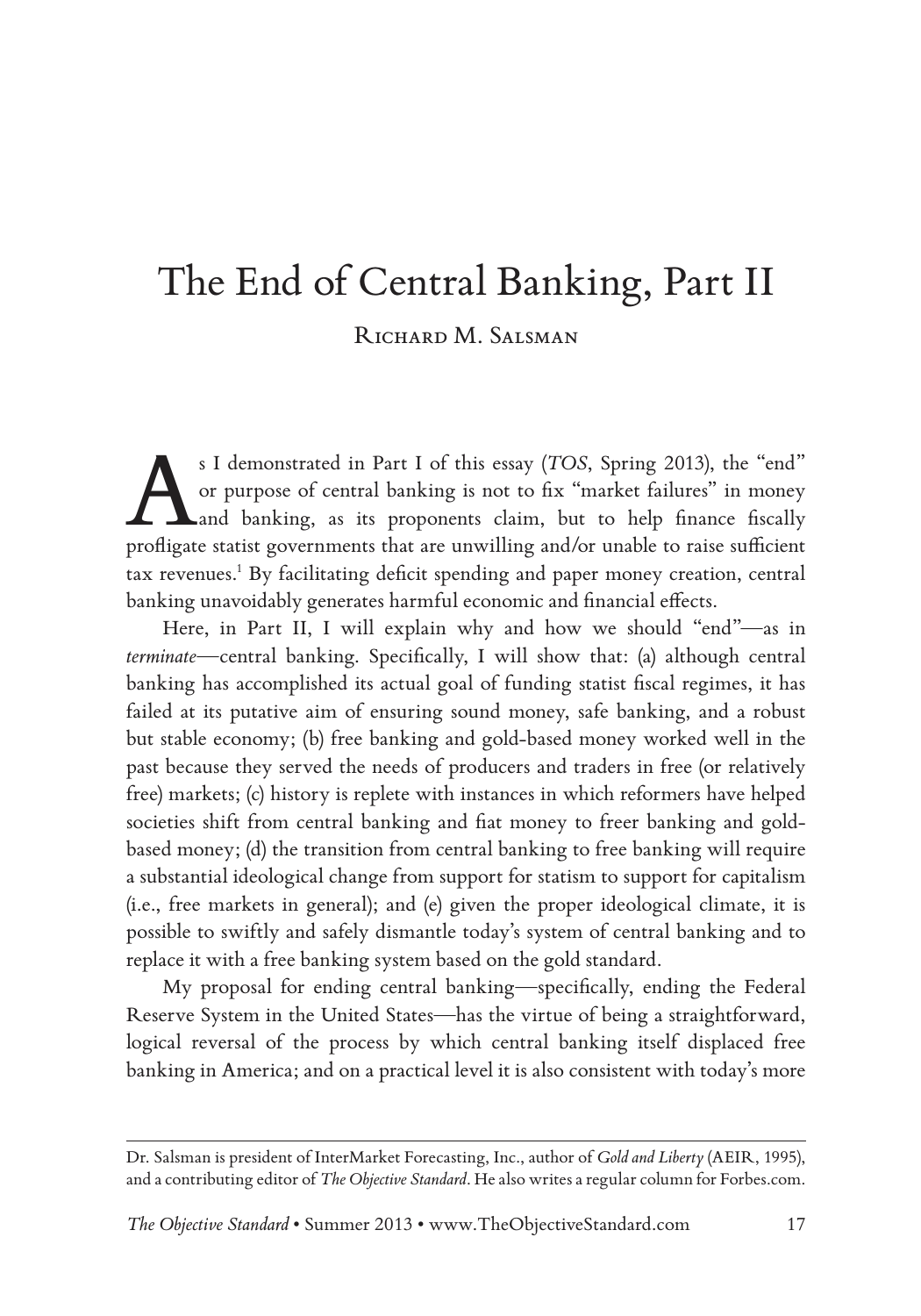# The End of Central Banking, Part II RICHARD M. SALSMAN

<sup>s I demonstrated in Part I of this essay (*TOS*, Spring 2013), the "end"<br>or purpose of central banking is not to fix "market failures" in money<br>and banking, as its proponents claim, but to help finance fiscally<br>proficate </sup> or purpose of central banking is not to fix "market failures" in money and banking, as its proponents claim, but to help finance fiscally profligate statist governments that are unwilling and/or unable to raise sufficient tax revenues.<sup>1</sup> By facilitating deficit spending and paper money creation, central banking unavoidably generates harmful economic and financial effects.

Here, in Part II, I will explain why and how we should "end"—as in *terminate*—central banking. Specifically, I will show that: (a) although central banking has accomplished its actual goal of funding statist fiscal regimes, it has failed at its putative aim of ensuring sound money, safe banking, and a robust but stable economy; (b) free banking and gold-based money worked well in the past because they served the needs of producers and traders in free (or relatively free) markets; (c) history is replete with instances in which reformers have helped societies shift from central banking and fiat money to freer banking and goldbased money; (d) the transition from central banking to free banking will require a substantial ideological change from support for statism to support for capitalism (i.e., free markets in general); and (e) given the proper ideological climate, it is possible to swiftly and safely dismantle today's system of central banking and to replace it with a free banking system based on the gold standard.

My proposal for ending central banking—specifically, ending the Federal Reserve System in the United States—has the virtue of being a straightforward, logical reversal of the process by which central banking itself displaced free banking in America; and on a practical level it is also consistent with today's more

Dr. Salsman is president of InterMarket Forecasting, Inc., author of *Gold and Liberty* (AEIR, 1995), and a contributing editor of *The Objective Standard*. He also writes a regular column for Forbes.com.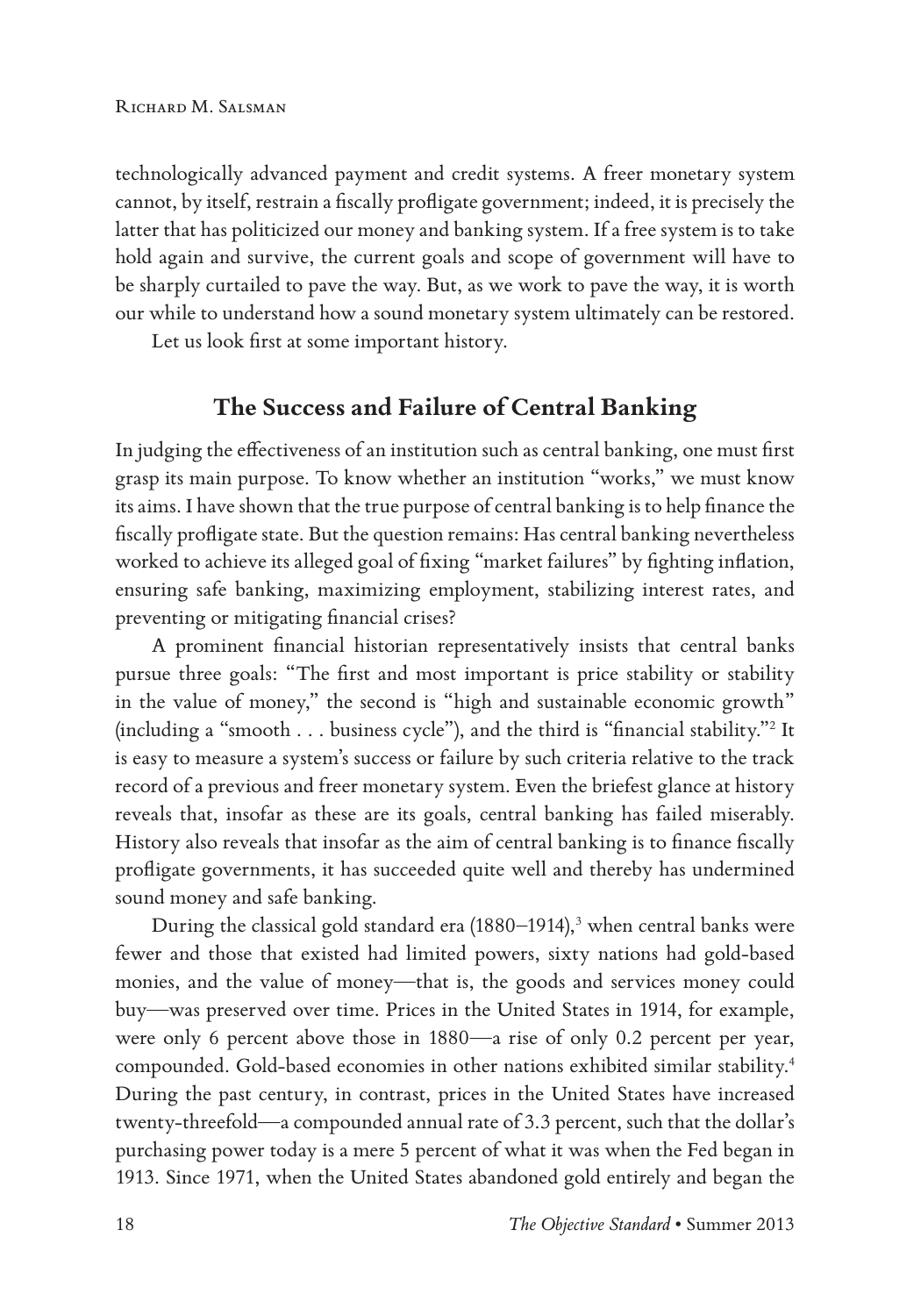technologically advanced payment and credit systems. A freer monetary system cannot, by itself, restrain a fiscally profligate government; indeed, it is precisely the latter that has politicized our money and banking system. If a free system is to take hold again and survive, the current goals and scope of government will have to be sharply curtailed to pave the way. But, as we work to pave the way, it is worth our while to understand how a sound monetary system ultimately can be restored.

Let us look first at some important history.

## **The Success and Failure of Central Banking**

In judging the effectiveness of an institution such as central banking, one must first grasp its main purpose. To know whether an institution "works," we must know its aims. I have shown that the true purpose of central banking is to help finance the fiscally profligate state. But the question remains: Has central banking nevertheless worked to achieve its alleged goal of fixing "market failures" by fighting inflation, ensuring safe banking, maximizing employment, stabilizing interest rates, and preventing or mitigating financial crises?

A prominent financial historian representatively insists that central banks pursue three goals: "The first and most important is price stability or stability in the value of money," the second is "high and sustainable economic growth" (including a "smooth  $\dots$  business cycle"), and the third is "financial stability." $^2$  It is easy to measure a system's success or failure by such criteria relative to the track record of a previous and freer monetary system. Even the briefest glance at history reveals that, insofar as these are its goals, central banking has failed miserably. History also reveals that insofar as the aim of central banking is to finance fiscally profligate governments, it has succeeded quite well and thereby has undermined sound money and safe banking.

During the classical gold standard era (1880–1914),<sup>3</sup> when central banks were fewer and those that existed had limited powers, sixty nations had gold-based monies, and the value of money—that is, the goods and services money could buy—was preserved over time. Prices in the United States in 1914, for example, were only 6 percent above those in 1880—a rise of only 0.2 percent per year, compounded. Gold-based economies in other nations exhibited similar stability.4 During the past century, in contrast, prices in the United States have increased twenty-threefold—a compounded annual rate of 3.3 percent, such that the dollar's purchasing power today is a mere 5 percent of what it was when the Fed began in 1913. Since 1971, when the United States abandoned gold entirely and began the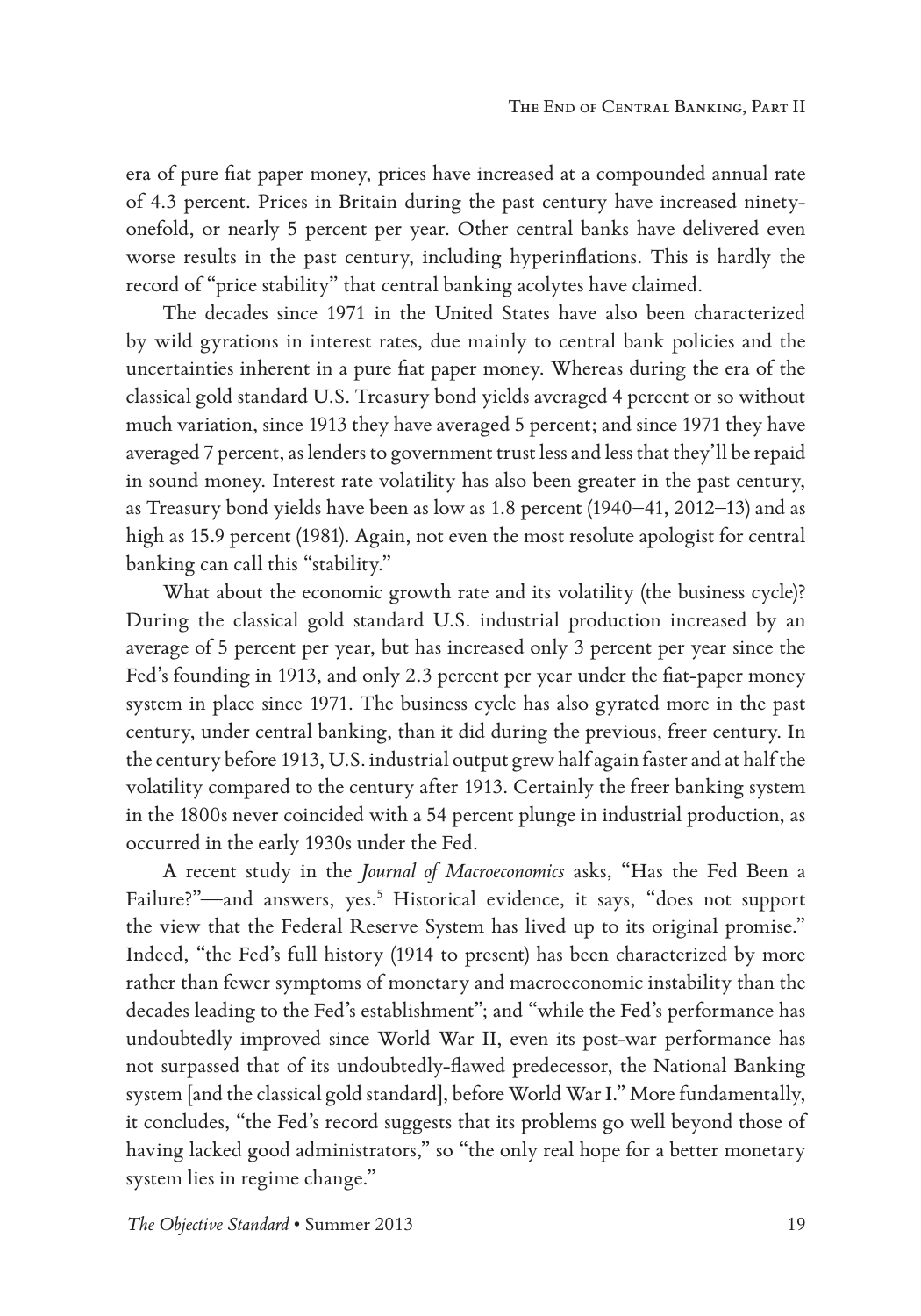era of pure fiat paper money, prices have increased at a compounded annual rate of 4.3 percent. Prices in Britain during the past century have increased ninetyonefold, or nearly 5 percent per year. Other central banks have delivered even worse results in the past century, including hyperinflations. This is hardly the record of "price stability" that central banking acolytes have claimed.

The decades since 1971 in the United States have also been characterized by wild gyrations in interest rates, due mainly to central bank policies and the uncertainties inherent in a pure fiat paper money. Whereas during the era of the classical gold standard U.S. Treasury bond yields averaged 4 percent or so without much variation, since 1913 they have averaged 5 percent; and since 1971 they have averaged 7 percent, as lenders to government trust less and less that they'll be repaid in sound money. Interest rate volatility has also been greater in the past century, as Treasury bond yields have been as low as 1.8 percent (1940–41, 2012–13) and as high as 15.9 percent (1981). Again, not even the most resolute apologist for central banking can call this "stability."

What about the economic growth rate and its volatility (the business cycle)? During the classical gold standard U.S. industrial production increased by an average of 5 percent per year, but has increased only 3 percent per year since the Fed's founding in 1913, and only 2.3 percent per year under the fiat-paper money system in place since 1971. The business cycle has also gyrated more in the past century, under central banking, than it did during the previous, freer century. In the century before 1913, U.S. industrial output grew half again faster and at half the volatility compared to the century after 1913. Certainly the freer banking system in the 1800s never coincided with a 54 percent plunge in industrial production, as occurred in the early 1930s under the Fed.

A recent study in the *Journal of Macroeconomics* asks, "Has the Fed Been a Failure?"—and answers, yes.<sup>5</sup> Historical evidence, it says, "does not support the view that the Federal Reserve System has lived up to its original promise." Indeed, "the Fed's full history (1914 to present) has been characterized by more rather than fewer symptoms of monetary and macroeconomic instability than the decades leading to the Fed's establishment"; and "while the Fed's performance has undoubtedly improved since World War II, even its post-war performance has not surpassed that of its undoubtedly-flawed predecessor, the National Banking system [and the classical gold standard], before World War I." More fundamentally, it concludes, "the Fed's record suggests that its problems go well beyond those of having lacked good administrators," so "the only real hope for a better monetary system lies in regime change."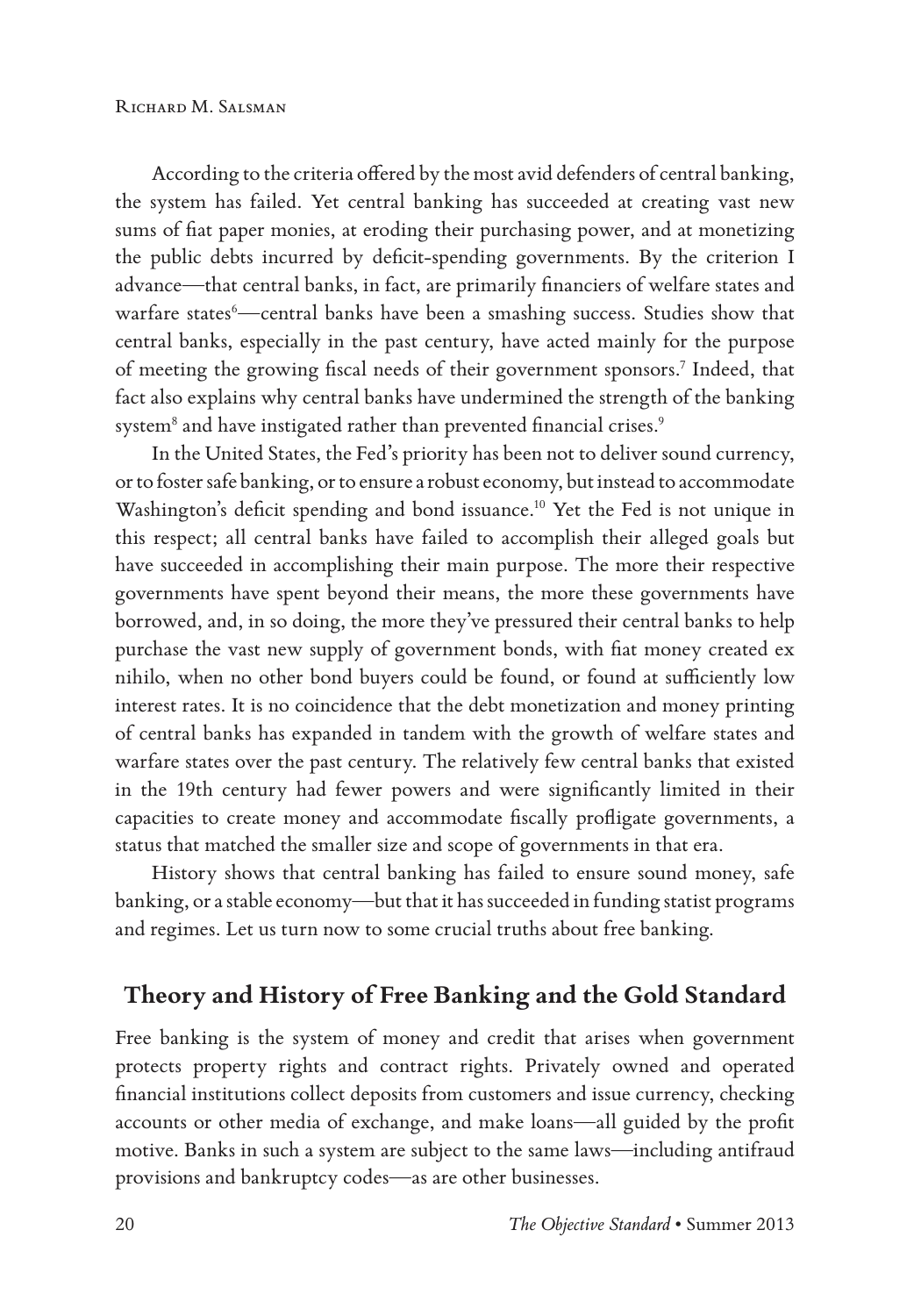According to the criteria offered by the most avid defenders of central banking, the system has failed. Yet central banking has succeeded at creating vast new sums of fiat paper monies, at eroding their purchasing power, and at monetizing the public debts incurred by deficit-spending governments. By the criterion I advance—that central banks, in fact, are primarily financiers of welfare states and warfare states<sup>6</sup>—central banks have been a smashing success. Studies show that central banks, especially in the past century, have acted mainly for the purpose of meeting the growing fiscal needs of their government sponsors.<sup>7</sup> Indeed, that fact also explains why central banks have undermined the strength of the banking system $^8$  and have instigated rather than prevented financial crises. $^9$ 

In the United States, the Fed's priority has been not to deliver sound currency, or to foster safe banking, or to ensure a robust economy, but instead to accommodate Washington's deficit spending and bond issuance.<sup>10</sup> Yet the Fed is not unique in this respect; all central banks have failed to accomplish their alleged goals but have succeeded in accomplishing their main purpose. The more their respective governments have spent beyond their means, the more these governments have borrowed, and, in so doing, the more they've pressured their central banks to help purchase the vast new supply of government bonds, with fiat money created ex nihilo, when no other bond buyers could be found, or found at sufficiently low interest rates. It is no coincidence that the debt monetization and money printing of central banks has expanded in tandem with the growth of welfare states and warfare states over the past century. The relatively few central banks that existed in the 19th century had fewer powers and were significantly limited in their capacities to create money and accommodate fiscally profligate governments, a status that matched the smaller size and scope of governments in that era.

History shows that central banking has failed to ensure sound money, safe banking, or a stable economy—but that it has succeeded in funding statist programs and regimes. Let us turn now to some crucial truths about free banking.

## **Theory and History of Free Banking and the Gold Standard**

Free banking is the system of money and credit that arises when government protects property rights and contract rights. Privately owned and operated financial institutions collect deposits from customers and issue currency, checking accounts or other media of exchange, and make loans—all guided by the profit motive. Banks in such a system are subject to the same laws—including antifraud provisions and bankruptcy codes—as are other businesses.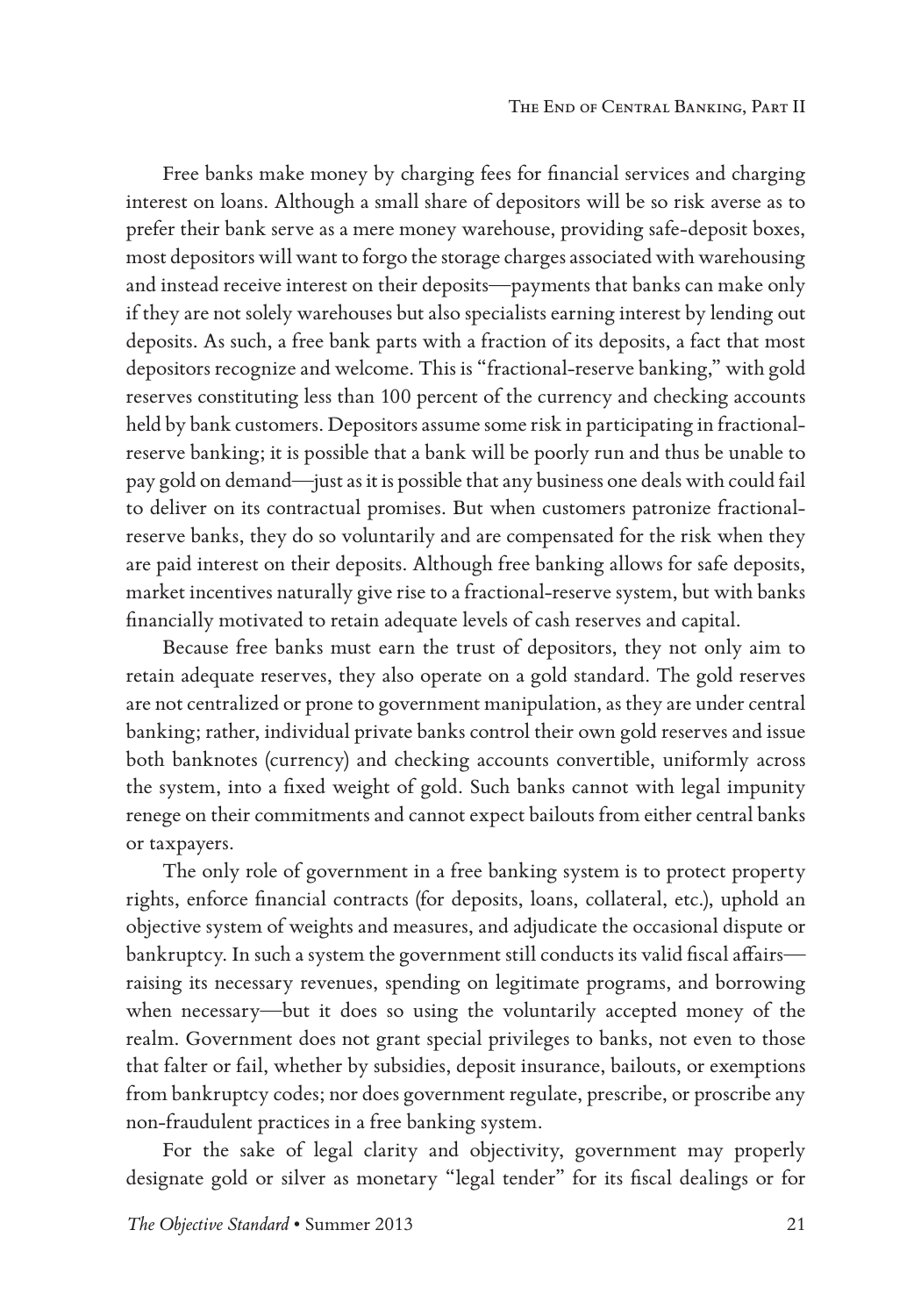Free banks make money by charging fees for financial services and charging interest on loans. Although a small share of depositors will be so risk averse as to prefer their bank serve as a mere money warehouse, providing safe-deposit boxes, most depositors will want to forgo the storage charges associated with warehousing and instead receive interest on their deposits—payments that banks can make only if they are not solely warehouses but also specialists earning interest by lending out deposits. As such, a free bank parts with a fraction of its deposits, a fact that most depositors recognize and welcome. This is "fractional-reserve banking," with gold reserves constituting less than 100 percent of the currency and checking accounts held by bank customers. Depositors assume some risk in participating in fractionalreserve banking; it is possible that a bank will be poorly run and thus be unable to pay gold on demand—just as it is possible that any business one deals with could fail to deliver on its contractual promises. But when customers patronize fractionalreserve banks, they do so voluntarily and are compensated for the risk when they are paid interest on their deposits. Although free banking allows for safe deposits, market incentives naturally give rise to a fractional-reserve system, but with banks financially motivated to retain adequate levels of cash reserves and capital.

Because free banks must earn the trust of depositors, they not only aim to retain adequate reserves, they also operate on a gold standard. The gold reserves are not centralized or prone to government manipulation, as they are under central banking; rather, individual private banks control their own gold reserves and issue both banknotes (currency) and checking accounts convertible, uniformly across the system, into a fixed weight of gold. Such banks cannot with legal impunity renege on their commitments and cannot expect bailouts from either central banks or taxpayers.

The only role of government in a free banking system is to protect property rights, enforce financial contracts (for deposits, loans, collateral, etc.), uphold an objective system of weights and measures, and adjudicate the occasional dispute or bankruptcy. In such a system the government still conducts its valid fiscal affairs raising its necessary revenues, spending on legitimate programs, and borrowing when necessary—but it does so using the voluntarily accepted money of the realm. Government does not grant special privileges to banks, not even to those that falter or fail, whether by subsidies, deposit insurance, bailouts, or exemptions from bankruptcy codes; nor does government regulate, prescribe, or proscribe any non-fraudulent practices in a free banking system.

For the sake of legal clarity and objectivity, government may properly designate gold or silver as monetary "legal tender" for its fiscal dealings or for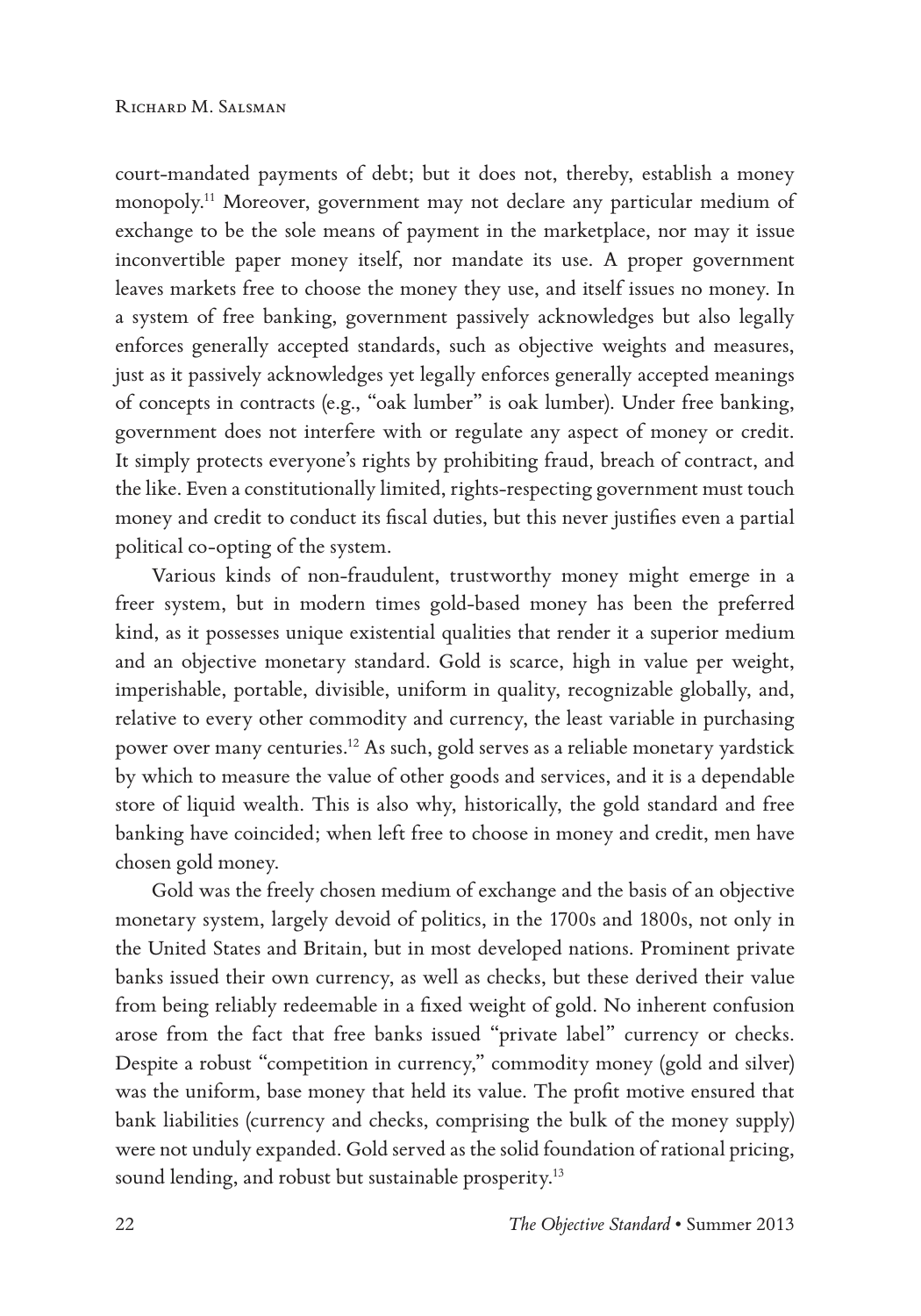court-mandated payments of debt; but it does not, thereby, establish a money monopoly.11 Moreover, government may not declare any particular medium of exchange to be the sole means of payment in the marketplace, nor may it issue inconvertible paper money itself, nor mandate its use. A proper government leaves markets free to choose the money they use, and itself issues no money. In a system of free banking, government passively acknowledges but also legally enforces generally accepted standards, such as objective weights and measures, just as it passively acknowledges yet legally enforces generally accepted meanings of concepts in contracts (e.g., "oak lumber" is oak lumber). Under free banking, government does not interfere with or regulate any aspect of money or credit. It simply protects everyone's rights by prohibiting fraud, breach of contract, and the like. Even a constitutionally limited, rights-respecting government must touch money and credit to conduct its fiscal duties, but this never justifies even a partial political co-opting of the system.

Various kinds of non-fraudulent, trustworthy money might emerge in a freer system, but in modern times gold-based money has been the preferred kind, as it possesses unique existential qualities that render it a superior medium and an objective monetary standard. Gold is scarce, high in value per weight, imperishable, portable, divisible, uniform in quality, recognizable globally, and, relative to every other commodity and currency, the least variable in purchasing power over many centuries.12 As such, gold serves as a reliable monetary yardstick by which to measure the value of other goods and services, and it is a dependable store of liquid wealth. This is also why, historically, the gold standard and free banking have coincided; when left free to choose in money and credit, men have chosen gold money.

Gold was the freely chosen medium of exchange and the basis of an objective monetary system, largely devoid of politics, in the 1700s and 1800s, not only in the United States and Britain, but in most developed nations. Prominent private banks issued their own currency, as well as checks, but these derived their value from being reliably redeemable in a fixed weight of gold. No inherent confusion arose from the fact that free banks issued "private label" currency or checks. Despite a robust "competition in currency," commodity money (gold and silver) was the uniform, base money that held its value. The profit motive ensured that bank liabilities (currency and checks, comprising the bulk of the money supply) were not unduly expanded. Gold served as the solid foundation of rational pricing, sound lending, and robust but sustainable prosperity.<sup>13</sup>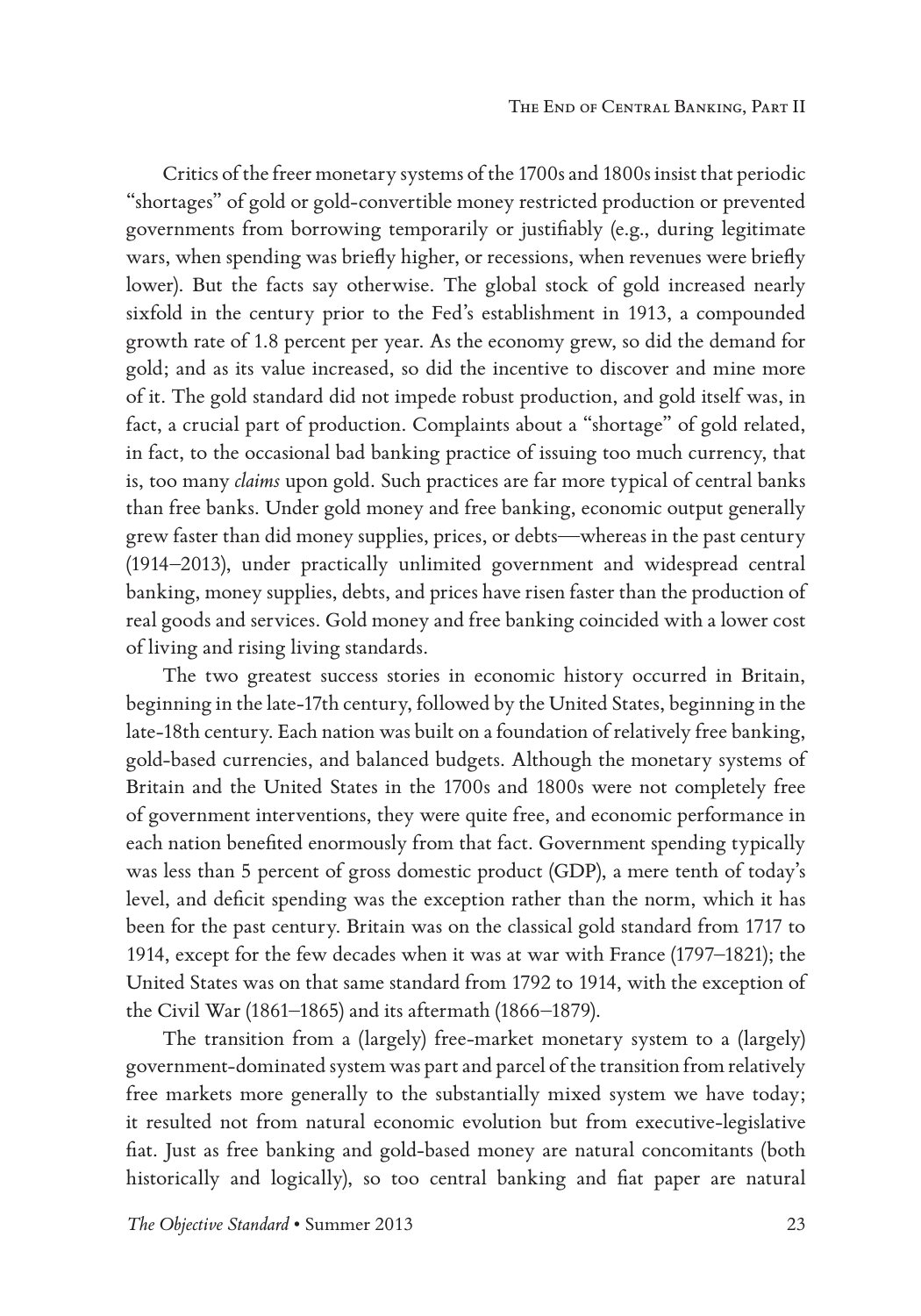Critics of the freer monetary systems of the 1700s and 1800s insist that periodic "shortages" of gold or gold-convertible money restricted production or prevented governments from borrowing temporarily or justifiably (e.g., during legitimate wars, when spending was briefly higher, or recessions, when revenues were briefly lower). But the facts say otherwise. The global stock of gold increased nearly sixfold in the century prior to the Fed's establishment in 1913, a compounded growth rate of 1.8 percent per year. As the economy grew, so did the demand for gold; and as its value increased, so did the incentive to discover and mine more of it. The gold standard did not impede robust production, and gold itself was, in fact, a crucial part of production. Complaints about a "shortage" of gold related, in fact, to the occasional bad banking practice of issuing too much currency, that is, too many *claims* upon gold. Such practices are far more typical of central banks than free banks. Under gold money and free banking, economic output generally grew faster than did money supplies, prices, or debts—whereas in the past century (1914–2013), under practically unlimited government and widespread central banking, money supplies, debts, and prices have risen faster than the production of real goods and services. Gold money and free banking coincided with a lower cost of living and rising living standards.

The two greatest success stories in economic history occurred in Britain, beginning in the late-17th century, followed by the United States, beginning in the late-18th century. Each nation was built on a foundation of relatively free banking, gold-based currencies, and balanced budgets. Although the monetary systems of Britain and the United States in the 1700s and 1800s were not completely free of government interventions, they were quite free, and economic performance in each nation benefited enormously from that fact. Government spending typically was less than 5 percent of gross domestic product (GDP), a mere tenth of today's level, and deficit spending was the exception rather than the norm, which it has been for the past century. Britain was on the classical gold standard from 1717 to 1914, except for the few decades when it was at war with France (1797–1821); the United States was on that same standard from 1792 to 1914, with the exception of the Civil War (1861–1865) and its aftermath (1866–1879).

The transition from a (largely) free-market monetary system to a (largely) government-dominated system was part and parcel of the transition from relatively free markets more generally to the substantially mixed system we have today; it resulted not from natural economic evolution but from executive-legislative fiat. Just as free banking and gold-based money are natural concomitants (both historically and logically), so too central banking and fiat paper are natural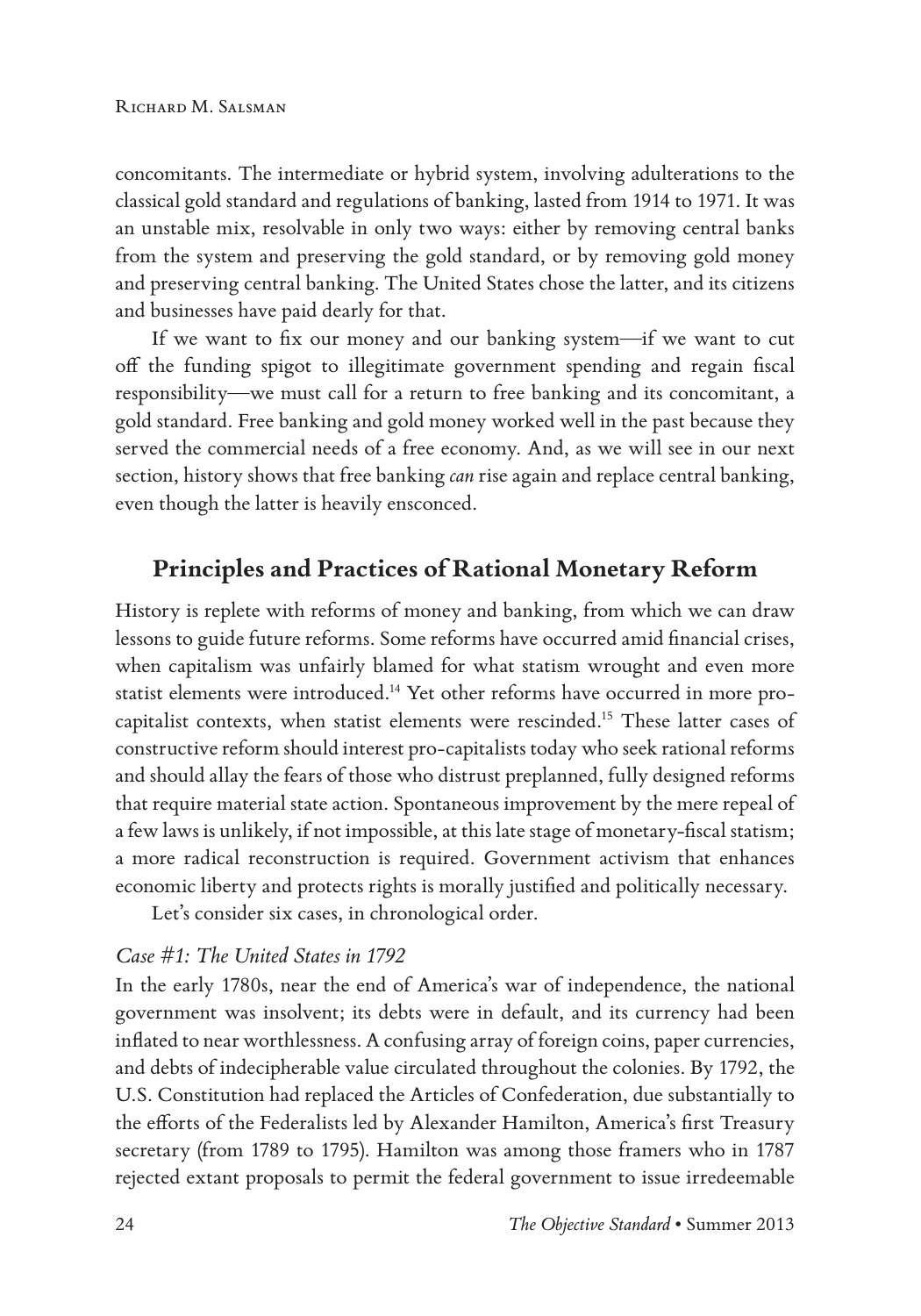concomitants. The intermediate or hybrid system, involving adulterations to the classical gold standard and regulations of banking, lasted from 1914 to 1971. It was an unstable mix, resolvable in only two ways: either by removing central banks from the system and preserving the gold standard, or by removing gold money and preserving central banking. The United States chose the latter, and its citizens and businesses have paid dearly for that.

If we want to fix our money and our banking system—if we want to cut off the funding spigot to illegitimate government spending and regain fiscal responsibility—we must call for a return to free banking and its concomitant, a gold standard. Free banking and gold money worked well in the past because they served the commercial needs of a free economy. And, as we will see in our next section, history shows that free banking *can* rise again and replace central banking, even though the latter is heavily ensconced.

## **Principles and Practices of Rational Monetary Reform**

History is replete with reforms of money and banking, from which we can draw lessons to guide future reforms. Some reforms have occurred amid financial crises, when capitalism was unfairly blamed for what statism wrought and even more statist elements were introduced.14 Yet other reforms have occurred in more procapitalist contexts, when statist elements were rescinded.15 These latter cases of constructive reform should interest pro-capitalists today who seek rational reforms and should allay the fears of those who distrust preplanned, fully designed reforms that require material state action. Spontaneous improvement by the mere repeal of a few laws is unlikely, if not impossible, at this late stage of monetary-fiscal statism; a more radical reconstruction is required. Government activism that enhances economic liberty and protects rights is morally justified and politically necessary.

Let's consider six cases, in chronological order.

#### *Case #1: The United States in 1792*

In the early 1780s, near the end of America's war of independence, the national government was insolvent; its debts were in default, and its currency had been inflated to near worthlessness. A confusing array of foreign coins, paper currencies, and debts of indecipherable value circulated throughout the colonies. By 1792, the U.S. Constitution had replaced the Articles of Confederation, due substantially to the efforts of the Federalists led by Alexander Hamilton, America's first Treasury secretary (from 1789 to 1795). Hamilton was among those framers who in 1787 rejected extant proposals to permit the federal government to issue irredeemable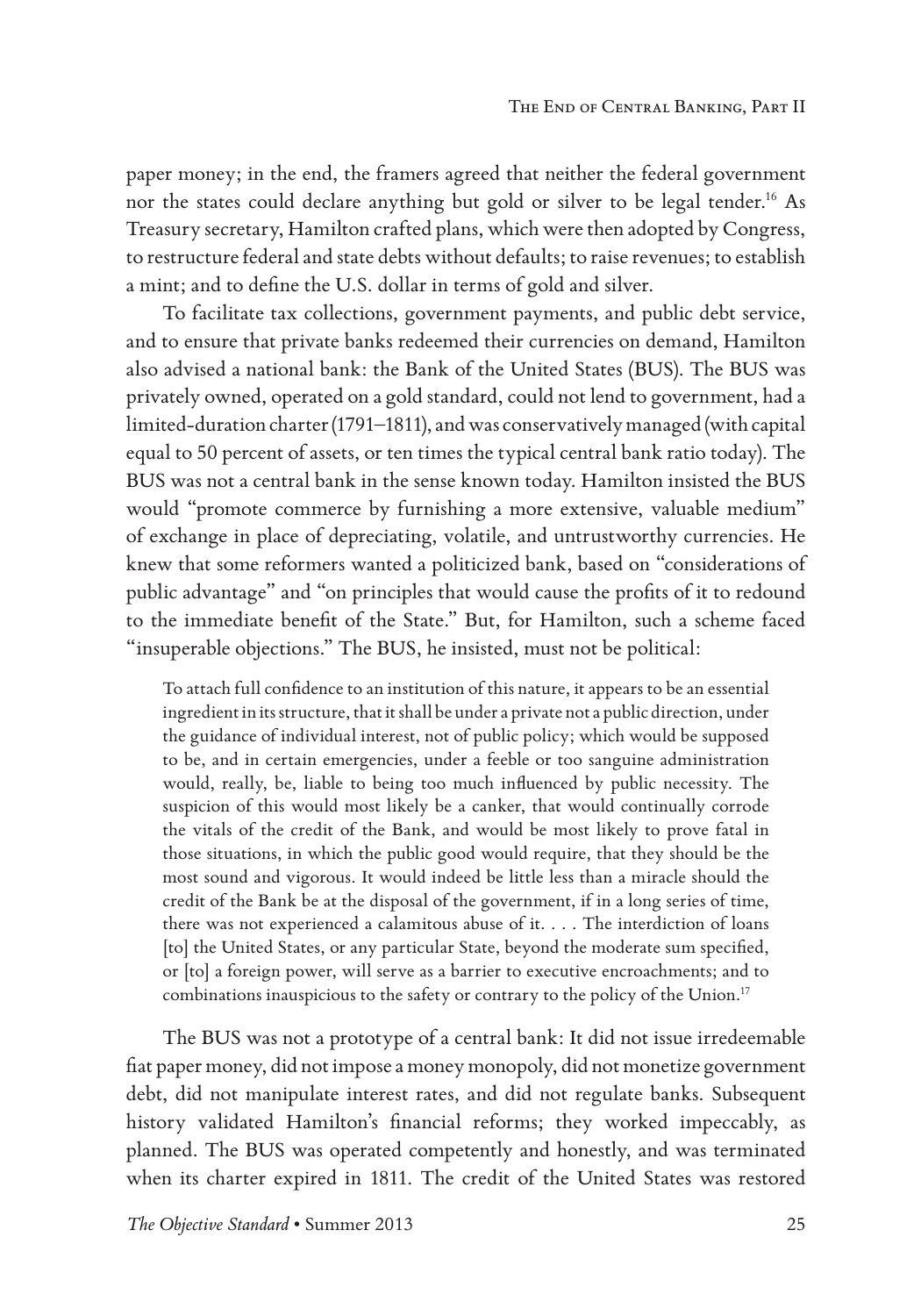paper money; in the end, the framers agreed that neither the federal government nor the states could declare anything but gold or silver to be legal tender.<sup>16</sup> As Treasury secretary, Hamilton crafted plans, which were then adopted by Congress, to restructure federal and state debts without defaults; to raise revenues; to establish a mint; and to define the U.S. dollar in terms of gold and silver.

To facilitate tax collections, government payments, and public debt service, and to ensure that private banks redeemed their currencies on demand, Hamilton also advised a national bank: the Bank of the United States (BUS). The BUS was privately owned, operated on a gold standard, could not lend to government, had a limited-duration charter (1791–1811), and was conservatively managed (with capital equal to 50 percent of assets, or ten times the typical central bank ratio today). The BUS was not a central bank in the sense known today. Hamilton insisted the BUS would "promote commerce by furnishing a more extensive, valuable medium" of exchange in place of depreciating, volatile, and untrustworthy currencies. He knew that some reformers wanted a politicized bank, based on "considerations of public advantage" and "on principles that would cause the profits of it to redound to the immediate benefit of the State." But, for Hamilton, such a scheme faced "insuperable objections." The BUS, he insisted, must not be political:

To attach full confidence to an institution of this nature, it appears to be an essential ingredient in its structure, that it shall be under a private not a public direction, under the guidance of individual interest, not of public policy; which would be supposed to be, and in certain emergencies, under a feeble or too sanguine administration would, really, be, liable to being too much influenced by public necessity. The suspicion of this would most likely be a canker, that would continually corrode the vitals of the credit of the Bank, and would be most likely to prove fatal in those situations, in which the public good would require, that they should be the most sound and vigorous. It would indeed be little less than a miracle should the credit of the Bank be at the disposal of the government, if in a long series of time, there was not experienced a calamitous abuse of it. . . . The interdiction of loans [to] the United States, or any particular State, beyond the moderate sum specified, or [to] a foreign power, will serve as a barrier to executive encroachments; and to combinations inauspicious to the safety or contrary to the policy of the Union.<sup>17</sup>

The BUS was not a prototype of a central bank: It did not issue irredeemable fiat paper money, did not impose a money monopoly, did not monetize government debt, did not manipulate interest rates, and did not regulate banks. Subsequent history validated Hamilton's financial reforms; they worked impeccably, as planned. The BUS was operated competently and honestly, and was terminated when its charter expired in 1811. The credit of the United States was restored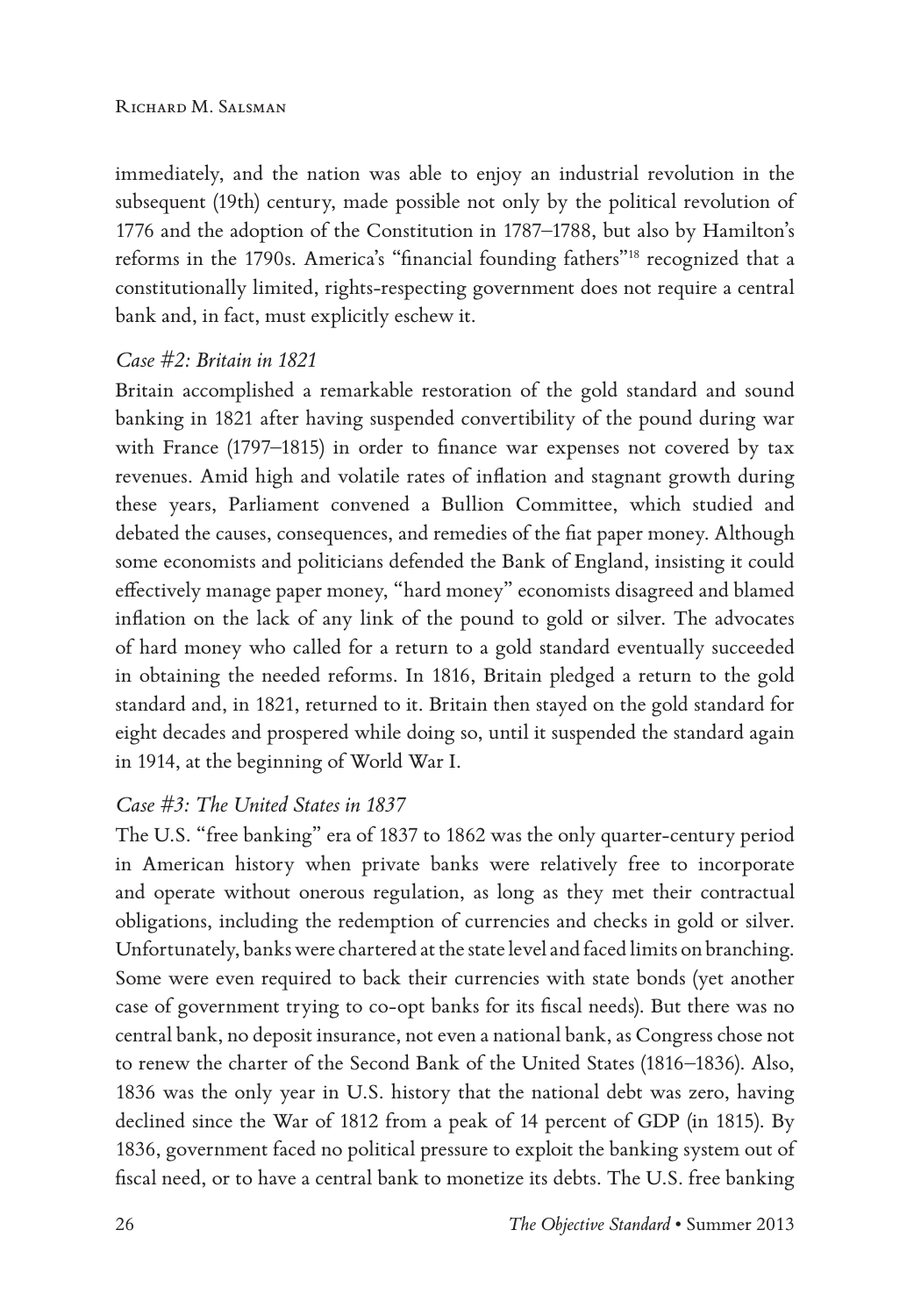immediately, and the nation was able to enjoy an industrial revolution in the subsequent (19th) century, made possible not only by the political revolution of 1776 and the adoption of the Constitution in 1787–1788, but also by Hamilton's reforms in the 1790s. America's "financial founding fathers"18 recognized that a constitutionally limited, rights-respecting government does not require a central bank and, in fact, must explicitly eschew it.

#### *Case #2: Britain in 1821*

Britain accomplished a remarkable restoration of the gold standard and sound banking in 1821 after having suspended convertibility of the pound during war with France (1797–1815) in order to finance war expenses not covered by tax revenues. Amid high and volatile rates of inflation and stagnant growth during these years, Parliament convened a Bullion Committee, which studied and debated the causes, consequences, and remedies of the fiat paper money. Although some economists and politicians defended the Bank of England, insisting it could effectively manage paper money, "hard money" economists disagreed and blamed inflation on the lack of any link of the pound to gold or silver. The advocates of hard money who called for a return to a gold standard eventually succeeded in obtaining the needed reforms. In 1816, Britain pledged a return to the gold standard and, in 1821, returned to it. Britain then stayed on the gold standard for eight decades and prospered while doing so, until it suspended the standard again in 1914, at the beginning of World War I.

#### *Case #3: The United States in 1837*

The U.S. "free banking" era of 1837 to 1862 was the only quarter-century period in American history when private banks were relatively free to incorporate and operate without onerous regulation, as long as they met their contractual obligations, including the redemption of currencies and checks in gold or silver. Unfortunately, banks were chartered at the state level and faced limits on branching. Some were even required to back their currencies with state bonds (yet another case of government trying to co-opt banks for its fiscal needs). But there was no central bank, no deposit insurance, not even a national bank, as Congress chose not to renew the charter of the Second Bank of the United States (1816–1836). Also, 1836 was the only year in U.S. history that the national debt was zero, having declined since the War of 1812 from a peak of 14 percent of GDP (in 1815). By 1836, government faced no political pressure to exploit the banking system out of fiscal need, or to have a central bank to monetize its debts. The U.S. free banking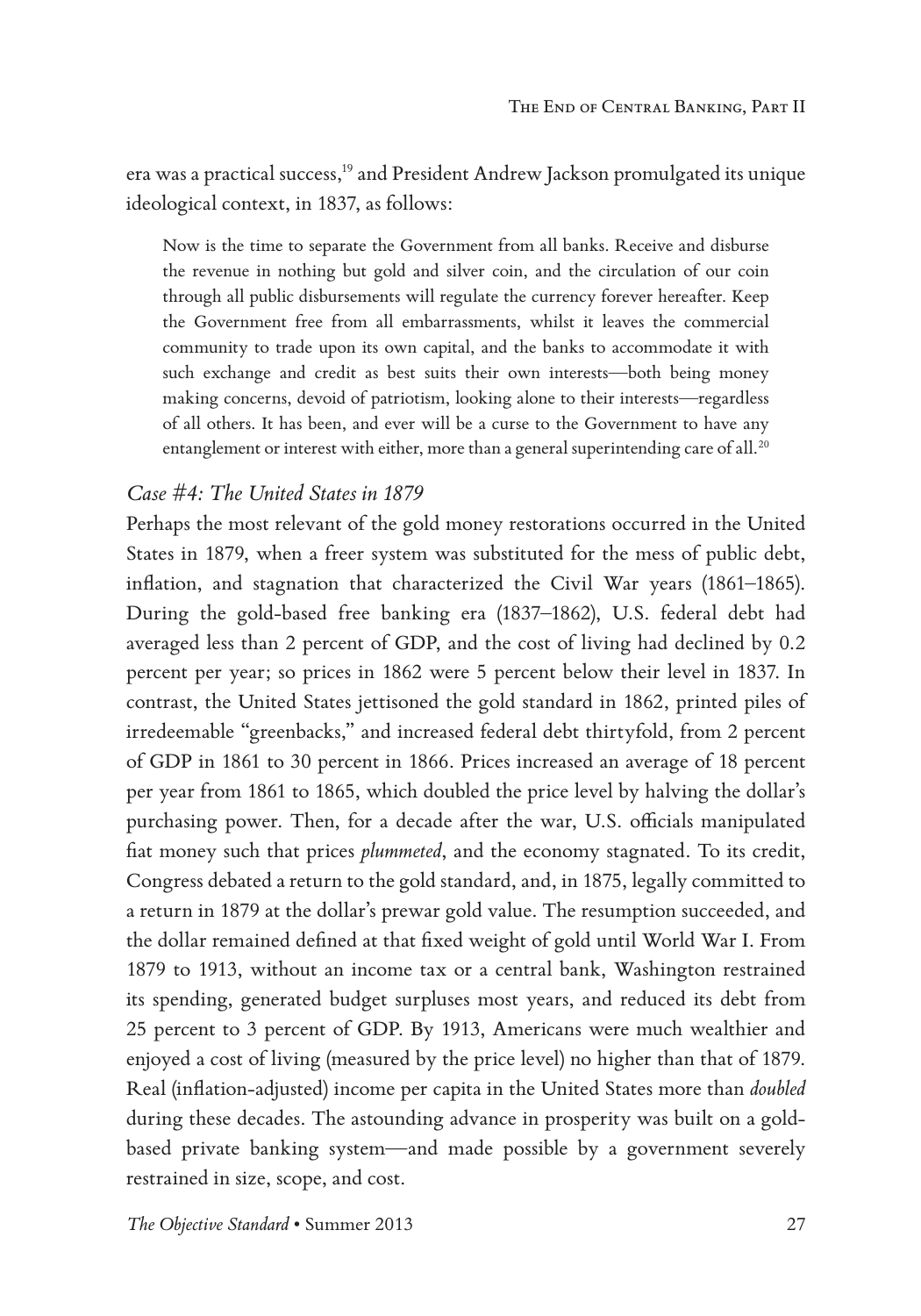era was a practical success,<sup>19</sup> and President Andrew Jackson promulgated its unique ideological context, in 1837, as follows:

Now is the time to separate the Government from all banks. Receive and disburse the revenue in nothing but gold and silver coin, and the circulation of our coin through all public disbursements will regulate the currency forever hereafter. Keep the Government free from all embarrassments, whilst it leaves the commercial community to trade upon its own capital, and the banks to accommodate it with such exchange and credit as best suits their own interests—both being money making concerns, devoid of patriotism, looking alone to their interests—regardless of all others. It has been, and ever will be a curse to the Government to have any entanglement or interest with either, more than a general superintending care of all.<sup>20</sup>

#### *Case #4: The United States in 1879*

Perhaps the most relevant of the gold money restorations occurred in the United States in 1879, when a freer system was substituted for the mess of public debt, inflation, and stagnation that characterized the Civil War years (1861–1865). During the gold-based free banking era (1837–1862), U.S. federal debt had averaged less than 2 percent of GDP, and the cost of living had declined by 0.2 percent per year; so prices in 1862 were 5 percent below their level in 1837. In contrast, the United States jettisoned the gold standard in 1862, printed piles of irredeemable "greenbacks," and increased federal debt thirtyfold, from 2 percent of GDP in 1861 to 30 percent in 1866. Prices increased an average of 18 percent per year from 1861 to 1865, which doubled the price level by halving the dollar's purchasing power. Then, for a decade after the war, U.S. officials manipulated fiat money such that prices *plummeted*, and the economy stagnated. To its credit, Congress debated a return to the gold standard, and, in 1875, legally committed to a return in 1879 at the dollar's prewar gold value. The resumption succeeded, and the dollar remained defined at that fixed weight of gold until World War I. From 1879 to 1913, without an income tax or a central bank, Washington restrained its spending, generated budget surpluses most years, and reduced its debt from 25 percent to 3 percent of GDP. By 1913, Americans were much wealthier and enjoyed a cost of living (measured by the price level) no higher than that of 1879. Real (inflation-adjusted) income per capita in the United States more than *doubled* during these decades. The astounding advance in prosperity was built on a goldbased private banking system—and made possible by a government severely restrained in size, scope, and cost.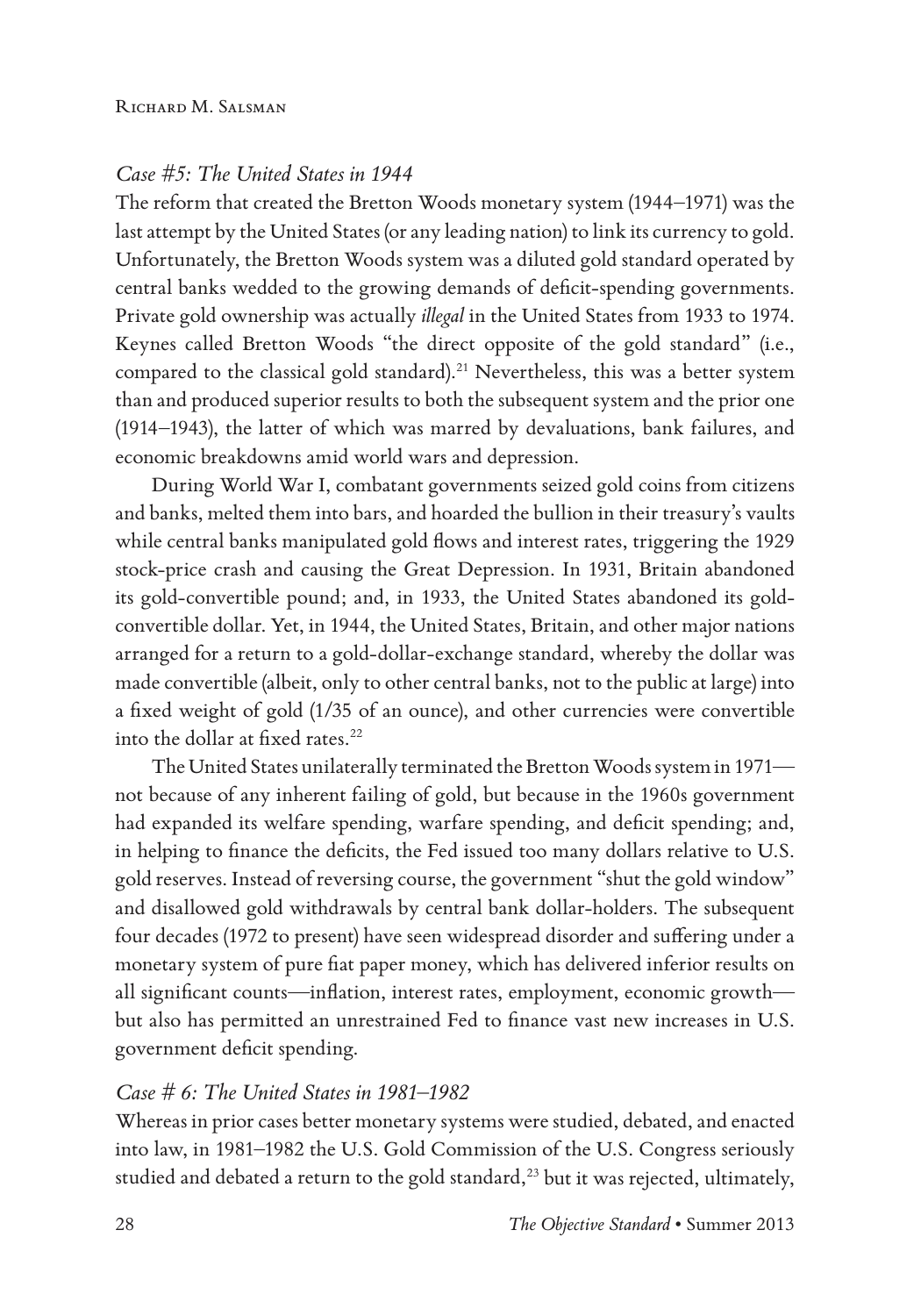#### *Case #5: The United States in 1944*

The reform that created the Bretton Woods monetary system (1944–1971) was the last attempt by the United States (or any leading nation) to link its currency to gold. Unfortunately, the Bretton Woods system was a diluted gold standard operated by central banks wedded to the growing demands of deficit-spending governments. Private gold ownership was actually *illegal* in the United States from 1933 to 1974. Keynes called Bretton Woods "the direct opposite of the gold standard" (i.e., compared to the classical gold standard).<sup>21</sup> Nevertheless, this was a better system than and produced superior results to both the subsequent system and the prior one (1914–1943), the latter of which was marred by devaluations, bank failures, and economic breakdowns amid world wars and depression.

During World War I, combatant governments seized gold coins from citizens and banks, melted them into bars, and hoarded the bullion in their treasury's vaults while central banks manipulated gold flows and interest rates, triggering the 1929 stock-price crash and causing the Great Depression. In 1931, Britain abandoned its gold-convertible pound; and, in 1933, the United States abandoned its goldconvertible dollar. Yet, in 1944, the United States, Britain, and other major nations arranged for a return to a gold-dollar-exchange standard, whereby the dollar was made convertible (albeit, only to other central banks, not to the public at large) into a fixed weight of gold (1/35 of an ounce), and other currencies were convertible into the dollar at fixed rates.<sup>22</sup>

The United States unilaterally terminated the Bretton Woods system in 1971 not because of any inherent failing of gold, but because in the 1960s government had expanded its welfare spending, warfare spending, and deficit spending; and, in helping to finance the deficits, the Fed issued too many dollars relative to U.S. gold reserves. Instead of reversing course, the government "shut the gold window" and disallowed gold withdrawals by central bank dollar-holders. The subsequent four decades (1972 to present) have seen widespread disorder and suffering under a monetary system of pure fiat paper money, which has delivered inferior results on all significant counts—inflation, interest rates, employment, economic growth but also has permitted an unrestrained Fed to finance vast new increases in U.S. government deficit spending.

#### *Case # 6: The United States in 1981–1982*

Whereas in prior cases better monetary systems were studied, debated, and enacted into law, in 1981–1982 the U.S. Gold Commission of the U.S. Congress seriously studied and debated a return to the gold standard, $^{23}$  but it was rejected, ultimately,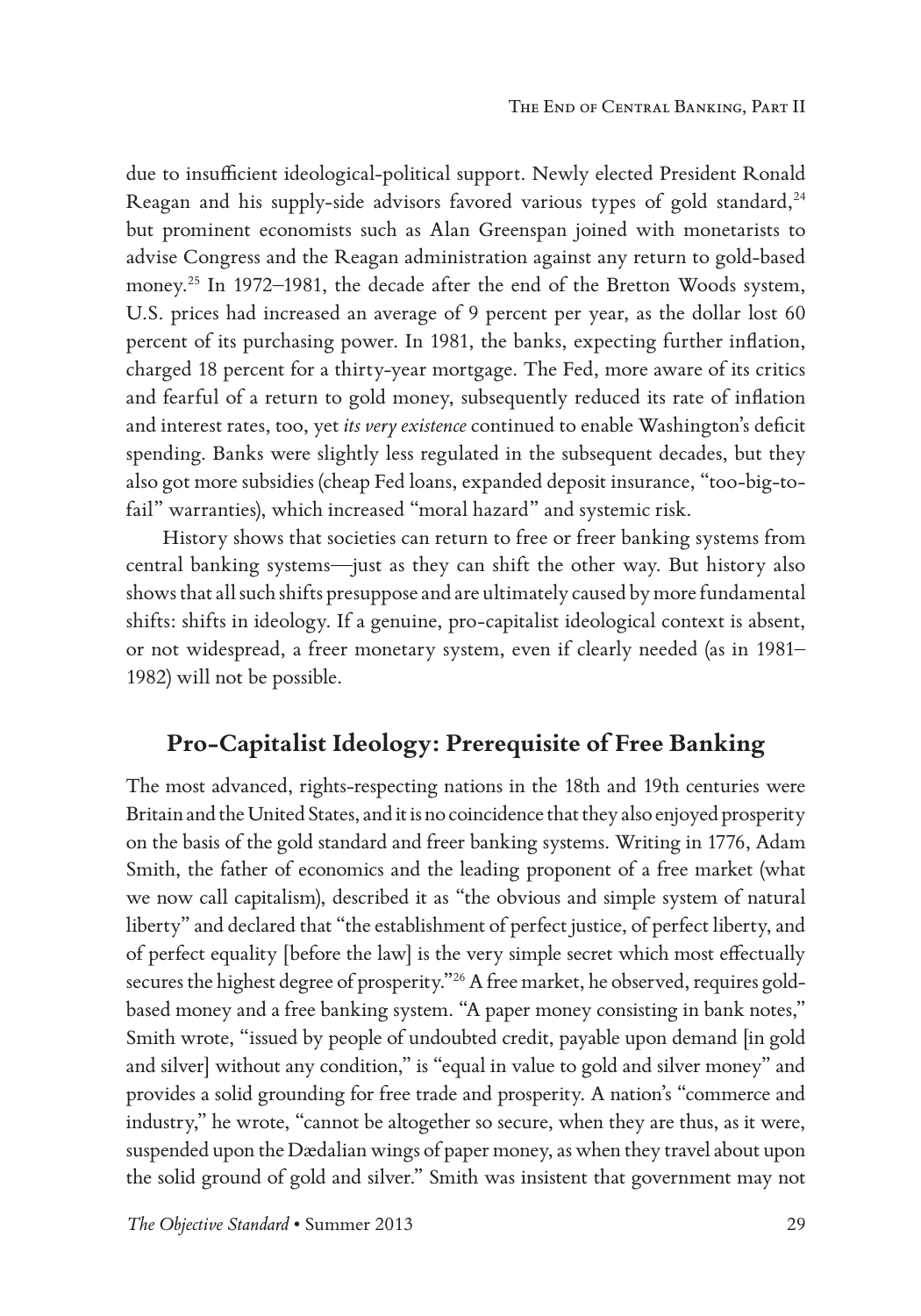due to insufficient ideological-political support. Newly elected President Ronald Reagan and his supply-side advisors favored various types of gold standard,<sup>24</sup> but prominent economists such as Alan Greenspan joined with monetarists to advise Congress and the Reagan administration against any return to gold-based money.<sup>25</sup> In 1972–1981, the decade after the end of the Bretton Woods system, U.S. prices had increased an average of 9 percent per year, as the dollar lost 60 percent of its purchasing power. In 1981, the banks, expecting further inflation, charged 18 percent for a thirty-year mortgage. The Fed, more aware of its critics and fearful of a return to gold money, subsequently reduced its rate of inflation and interest rates, too, yet *its very existence* continued to enable Washington's deficit spending. Banks were slightly less regulated in the subsequent decades, but they also got more subsidies (cheap Fed loans, expanded deposit insurance, "too-big-tofail" warranties), which increased "moral hazard" and systemic risk.

History shows that societies can return to free or freer banking systems from central banking systems—just as they can shift the other way. But history also shows that all such shifts presuppose and are ultimately caused by more fundamental shifts: shifts in ideology. If a genuine, pro-capitalist ideological context is absent, or not widespread, a freer monetary system, even if clearly needed (as in 1981– 1982) will not be possible.

# **Pro-Capitalist Ideology: Prerequisite of Free Banking**

The most advanced, rights-respecting nations in the 18th and 19th centuries were Britain and the United States, and it is no coincidence that they also enjoyed prosperity on the basis of the gold standard and freer banking systems. Writing in 1776, Adam Smith, the father of economics and the leading proponent of a free market (what we now call capitalism), described it as "the obvious and simple system of natural liberty" and declared that "the establishment of perfect justice, of perfect liberty, and of perfect equality [before the law] is the very simple secret which most effectually secures the highest degree of prosperity."26 A free market, he observed, requires goldbased money and a free banking system. "A paper money consisting in bank notes," Smith wrote, "issued by people of undoubted credit, payable upon demand [in gold and silver] without any condition," is "equal in value to gold and silver money" and provides a solid grounding for free trade and prosperity. A nation's "commerce and industry," he wrote, "cannot be altogether so secure, when they are thus, as it were, suspended upon the Dædalian wings of paper money, as when they travel about upon the solid ground of gold and silver." Smith was insistent that government may not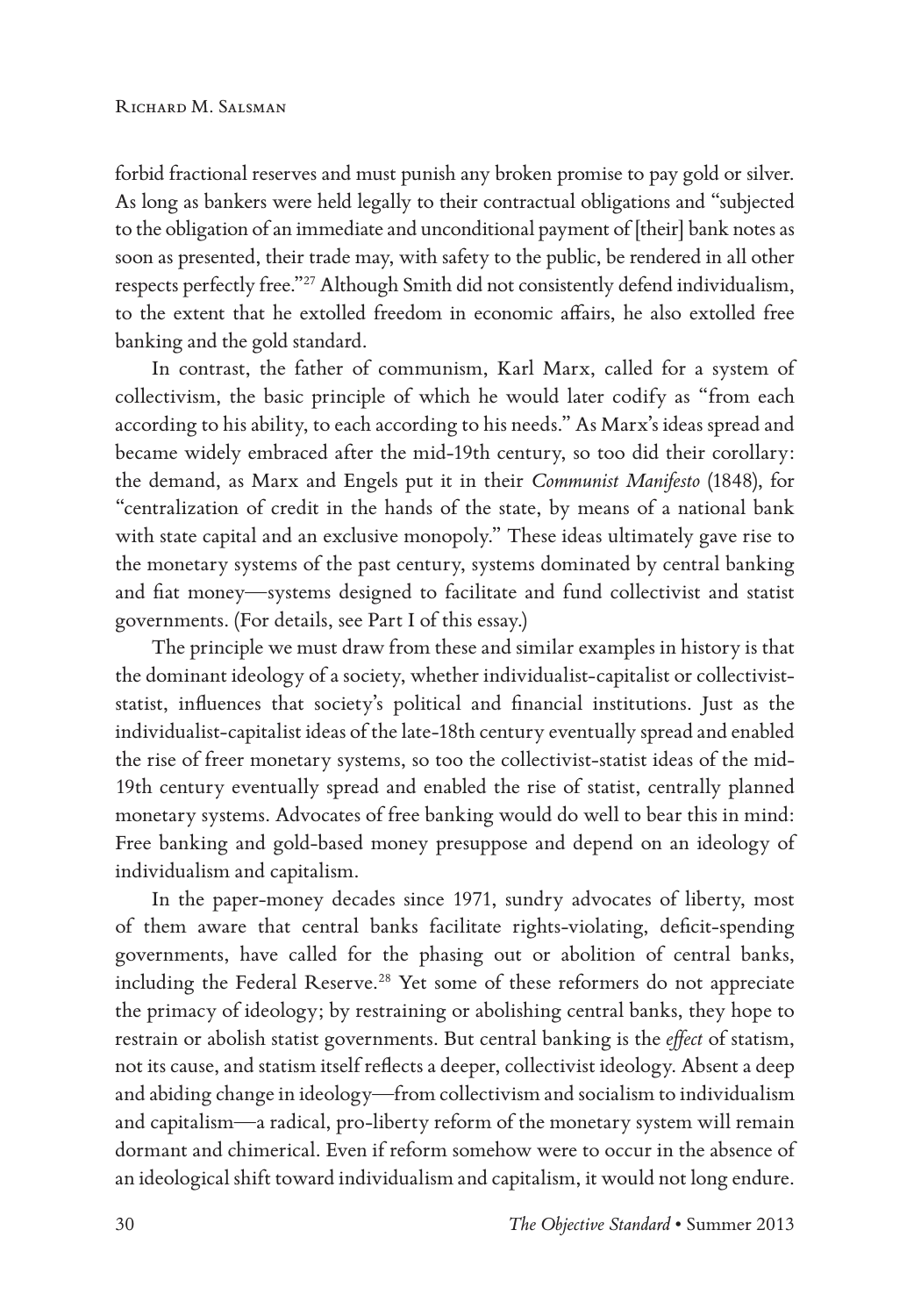forbid fractional reserves and must punish any broken promise to pay gold or silver. As long as bankers were held legally to their contractual obligations and "subjected to the obligation of an immediate and unconditional payment of [their] bank notes as soon as presented, their trade may, with safety to the public, be rendered in all other respects perfectly free."27 Although Smith did not consistently defend individualism, to the extent that he extolled freedom in economic affairs, he also extolled free banking and the gold standard.

In contrast, the father of communism, Karl Marx, called for a system of collectivism, the basic principle of which he would later codify as "from each according to his ability, to each according to his needs." As Marx's ideas spread and became widely embraced after the mid-19th century, so too did their corollary: the demand, as Marx and Engels put it in their *Communist Manifesto* (1848), for "centralization of credit in the hands of the state, by means of a national bank with state capital and an exclusive monopoly." These ideas ultimately gave rise to the monetary systems of the past century, systems dominated by central banking and fiat money—systems designed to facilitate and fund collectivist and statist governments. (For details, see Part I of this essay.)

The principle we must draw from these and similar examples in history is that the dominant ideology of a society, whether individualist-capitalist or collectiviststatist, influences that society's political and financial institutions. Just as the individualist-capitalist ideas of the late-18th century eventually spread and enabled the rise of freer monetary systems, so too the collectivist-statist ideas of the mid-19th century eventually spread and enabled the rise of statist, centrally planned monetary systems. Advocates of free banking would do well to bear this in mind: Free banking and gold-based money presuppose and depend on an ideology of individualism and capitalism.

In the paper-money decades since 1971, sundry advocates of liberty, most of them aware that central banks facilitate rights-violating, deficit-spending governments, have called for the phasing out or abolition of central banks, including the Federal Reserve.<sup>28</sup> Yet some of these reformers do not appreciate the primacy of ideology; by restraining or abolishing central banks, they hope to restrain or abolish statist governments. But central banking is the *effect* of statism, not its cause, and statism itself reflects a deeper, collectivist ideology. Absent a deep and abiding change in ideology—from collectivism and socialism to individualism and capitalism—a radical, pro-liberty reform of the monetary system will remain dormant and chimerical. Even if reform somehow were to occur in the absence of an ideological shift toward individualism and capitalism, it would not long endure.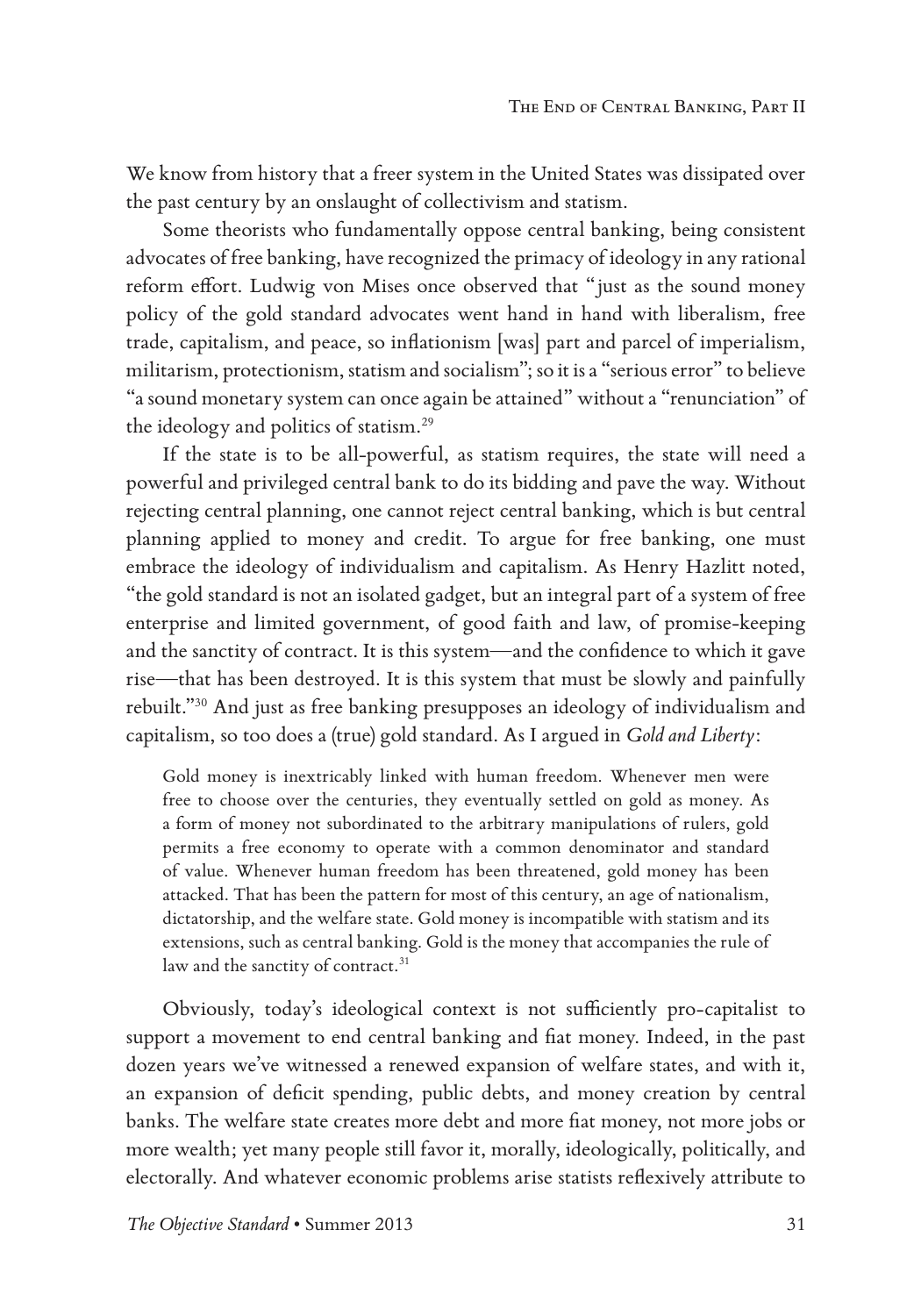We know from history that a freer system in the United States was dissipated over the past century by an onslaught of collectivism and statism.

Some theorists who fundamentally oppose central banking, being consistent advocates of free banking, have recognized the primacy of ideology in any rational reform effort. Ludwig von Mises once observed that "just as the sound money policy of the gold standard advocates went hand in hand with liberalism, free trade, capitalism, and peace, so inflationism [was] part and parcel of imperialism, militarism, protectionism, statism and socialism"; so it is a "serious error" to believe "a sound monetary system can once again be attained" without a "renunciation" of the ideology and politics of statism.29

If the state is to be all-powerful, as statism requires, the state will need a powerful and privileged central bank to do its bidding and pave the way. Without rejecting central planning, one cannot reject central banking, which is but central planning applied to money and credit. To argue for free banking, one must embrace the ideology of individualism and capitalism. As Henry Hazlitt noted, "the gold standard is not an isolated gadget, but an integral part of a system of free enterprise and limited government, of good faith and law, of promise-keeping and the sanctity of contract. It is this system—and the confidence to which it gave rise—that has been destroyed. It is this system that must be slowly and painfully rebuilt."30 And just as free banking presupposes an ideology of individualism and capitalism, so too does a (true) gold standard. As I argued in *Gold and Liberty*:

Gold money is inextricably linked with human freedom. Whenever men were free to choose over the centuries, they eventually settled on gold as money. As a form of money not subordinated to the arbitrary manipulations of rulers, gold permits a free economy to operate with a common denominator and standard of value. Whenever human freedom has been threatened, gold money has been attacked. That has been the pattern for most of this century, an age of nationalism, dictatorship, and the welfare state. Gold money is incompatible with statism and its extensions, such as central banking. Gold is the money that accompanies the rule of law and the sanctity of contract.<sup>31</sup>

Obviously, today's ideological context is not sufficiently pro-capitalist to support a movement to end central banking and fiat money. Indeed, in the past dozen years we've witnessed a renewed expansion of welfare states, and with it, an expansion of deficit spending, public debts, and money creation by central banks. The welfare state creates more debt and more fiat money, not more jobs or more wealth; yet many people still favor it, morally, ideologically, politically, and electorally. And whatever economic problems arise statists reflexively attribute to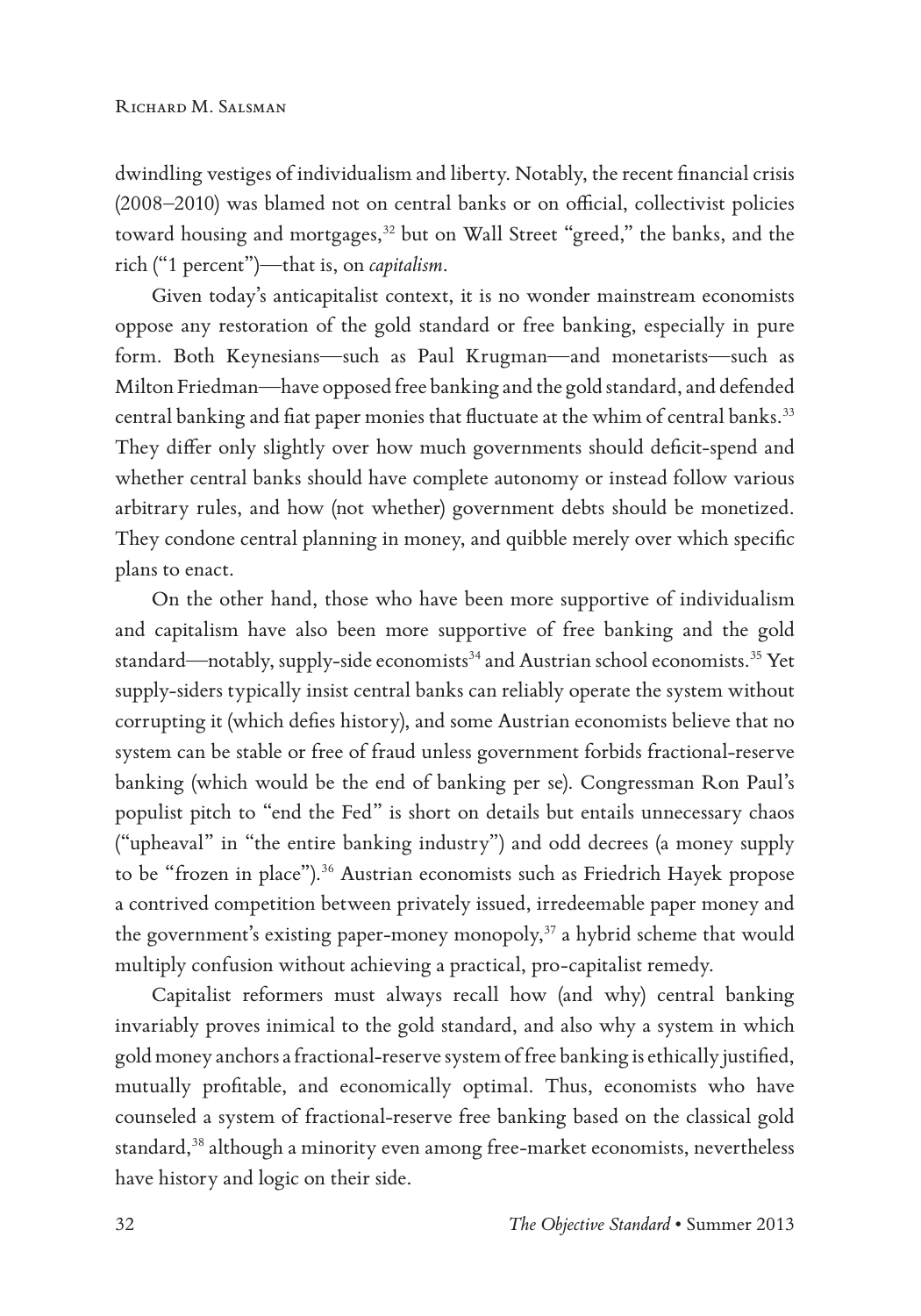dwindling vestiges of individualism and liberty. Notably, the recent financial crisis (2008–2010) was blamed not on central banks or on official, collectivist policies toward housing and mortgages,<sup>32</sup> but on Wall Street "greed," the banks, and the rich ("1 percent")—that is, on *capitalism*.

Given today's anticapitalist context, it is no wonder mainstream economists oppose any restoration of the gold standard or free banking, especially in pure form. Both Keynesians—such as Paul Krugman—and monetarists—such as Milton Friedman—have opposed free banking and the gold standard, and defended central banking and fiat paper monies that fluctuate at the whim of central banks.<sup>33</sup> They differ only slightly over how much governments should deficit-spend and whether central banks should have complete autonomy or instead follow various arbitrary rules, and how (not whether) government debts should be monetized. They condone central planning in money, and quibble merely over which specific plans to enact.

On the other hand, those who have been more supportive of individualism and capitalism have also been more supportive of free banking and the gold standard—notably, supply-side economists<sup>34</sup> and Austrian school economists.<sup>35</sup> Yet supply-siders typically insist central banks can reliably operate the system without corrupting it (which defies history), and some Austrian economists believe that no system can be stable or free of fraud unless government forbids fractional-reserve banking (which would be the end of banking per se). Congressman Ron Paul's populist pitch to "end the Fed" is short on details but entails unnecessary chaos ("upheaval" in "the entire banking industry") and odd decrees (a money supply to be "frozen in place").<sup>36</sup> Austrian economists such as Friedrich Hayek propose a contrived competition between privately issued, irredeemable paper money and the government's existing paper-money monopoly,<sup>37</sup> a hybrid scheme that would multiply confusion without achieving a practical, pro-capitalist remedy.

Capitalist reformers must always recall how (and why) central banking invariably proves inimical to the gold standard, and also why a system in which gold money anchors a fractional-reserve system of free banking is ethically justified, mutually profitable, and economically optimal. Thus, economists who have counseled a system of fractional-reserve free banking based on the classical gold standard,<sup>38</sup> although a minority even among free-market economists, nevertheless have history and logic on their side.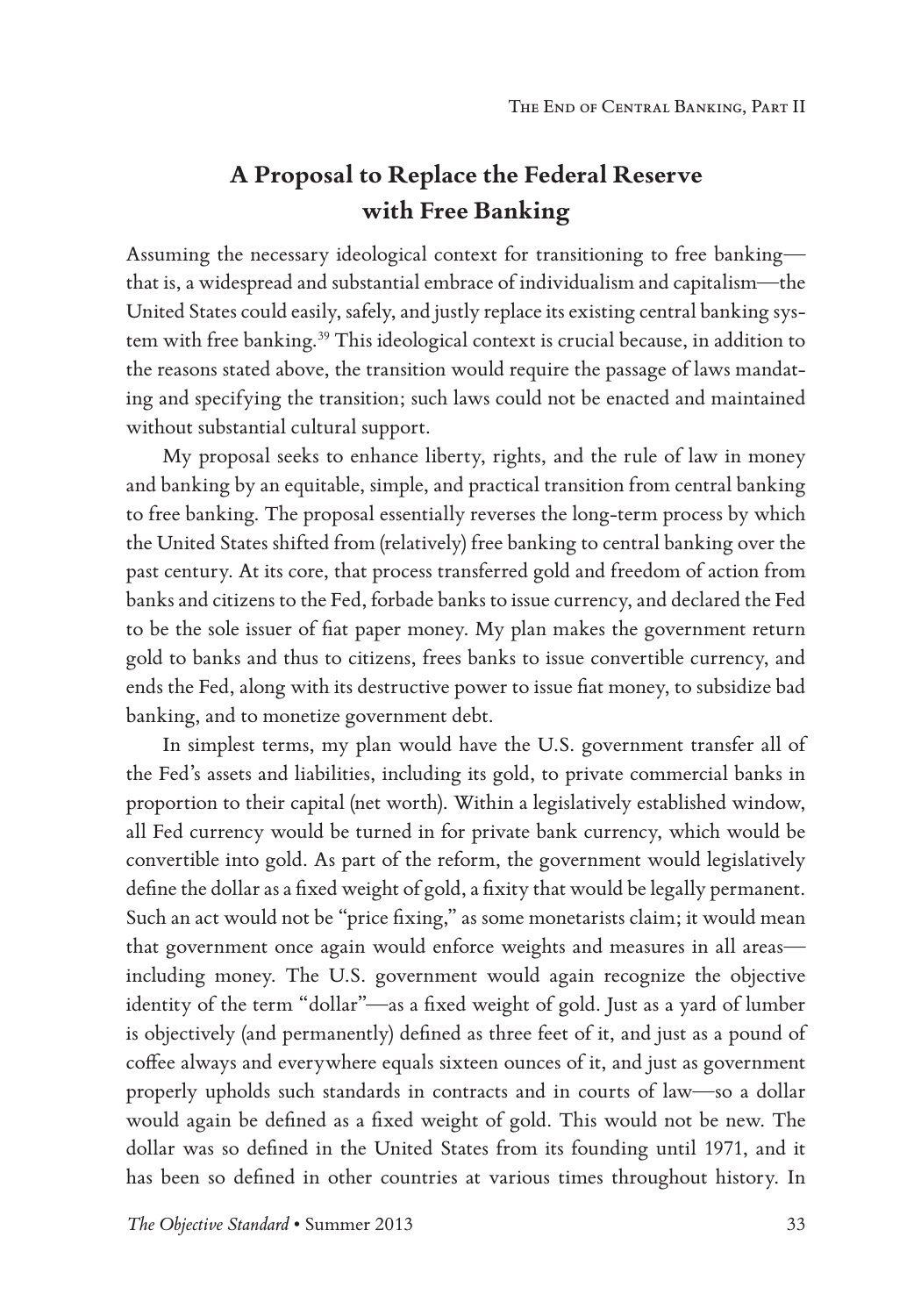# **A Proposal to Replace the Federal Reserve with Free Banking**

Assuming the necessary ideological context for transitioning to free banking that is, a widespread and substantial embrace of individualism and capitalism—the United States could easily, safely, and justly replace its existing central banking system with free banking.<sup>39</sup> This ideological context is crucial because, in addition to the reasons stated above, the transition would require the passage of laws mandating and specifying the transition; such laws could not be enacted and maintained without substantial cultural support.

My proposal seeks to enhance liberty, rights, and the rule of law in money and banking by an equitable, simple, and practical transition from central banking to free banking. The proposal essentially reverses the long-term process by which the United States shifted from (relatively) free banking to central banking over the past century. At its core, that process transferred gold and freedom of action from banks and citizens to the Fed, forbade banks to issue currency, and declared the Fed to be the sole issuer of fiat paper money. My plan makes the government return gold to banks and thus to citizens, frees banks to issue convertible currency, and ends the Fed, along with its destructive power to issue fiat money, to subsidize bad banking, and to monetize government debt.

In simplest terms, my plan would have the U.S. government transfer all of the Fed's assets and liabilities, including its gold, to private commercial banks in proportion to their capital (net worth). Within a legislatively established window, all Fed currency would be turned in for private bank currency, which would be convertible into gold. As part of the reform, the government would legislatively define the dollar as a fixed weight of gold, a fixity that would be legally permanent. Such an act would not be "price fixing," as some monetarists claim; it would mean that government once again would enforce weights and measures in all areas including money. The U.S. government would again recognize the objective identity of the term "dollar"—as a fixed weight of gold. Just as a yard of lumber is objectively (and permanently) defined as three feet of it, and just as a pound of coffee always and everywhere equals sixteen ounces of it, and just as government properly upholds such standards in contracts and in courts of law—so a dollar would again be defined as a fixed weight of gold. This would not be new. The dollar was so defined in the United States from its founding until 1971, and it has been so defined in other countries at various times throughout history. In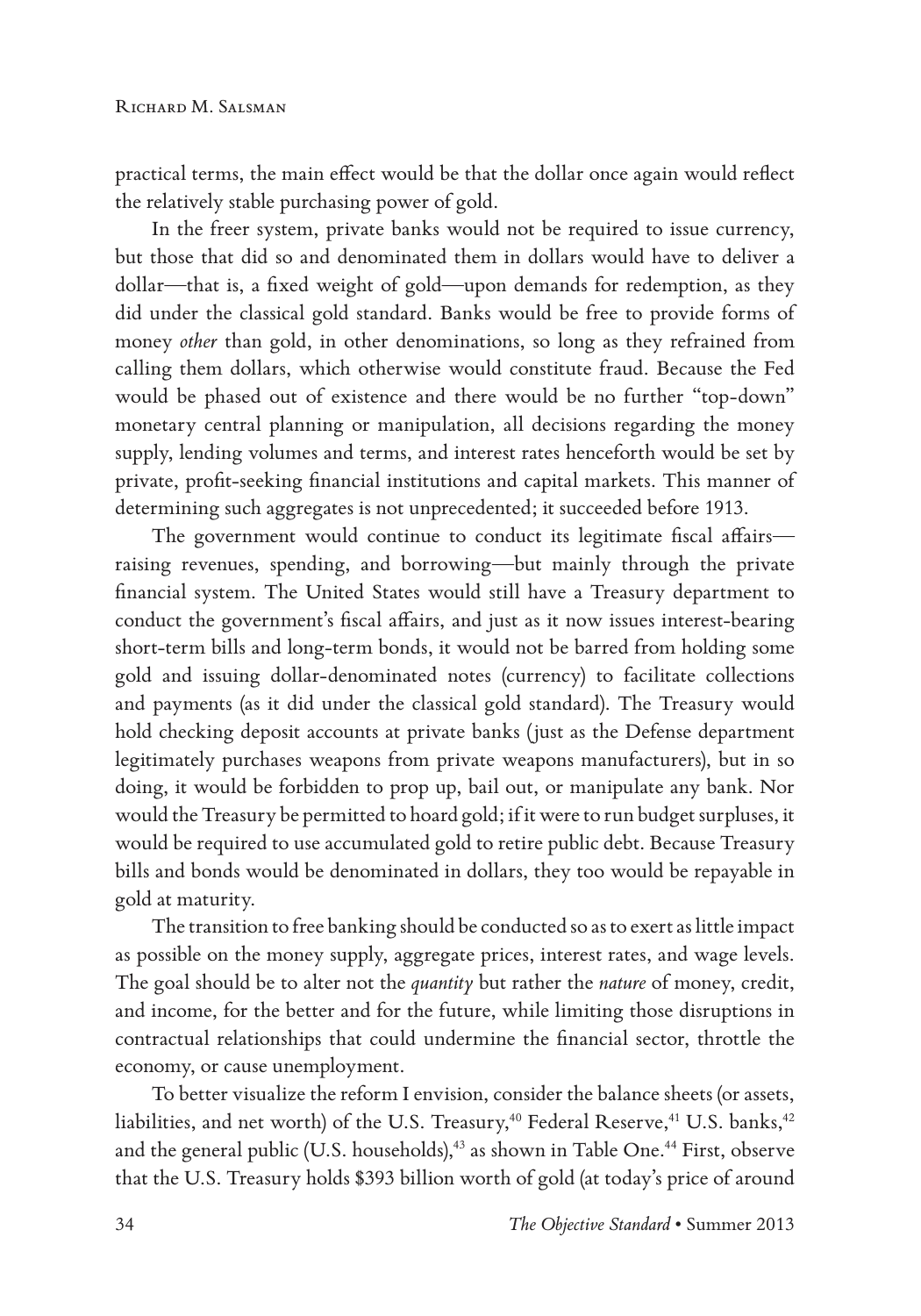practical terms, the main effect would be that the dollar once again would reflect the relatively stable purchasing power of gold.

In the freer system, private banks would not be required to issue currency, but those that did so and denominated them in dollars would have to deliver a dollar—that is, a fixed weight of gold—upon demands for redemption, as they did under the classical gold standard. Banks would be free to provide forms of money *other* than gold, in other denominations, so long as they refrained from calling them dollars, which otherwise would constitute fraud. Because the Fed would be phased out of existence and there would be no further "top-down" monetary central planning or manipulation, all decisions regarding the money supply, lending volumes and terms, and interest rates henceforth would be set by private, profit-seeking financial institutions and capital markets. This manner of determining such aggregates is not unprecedented; it succeeded before 1913.

The government would continue to conduct its legitimate fiscal affairs raising revenues, spending, and borrowing—but mainly through the private financial system. The United States would still have a Treasury department to conduct the government's fiscal affairs, and just as it now issues interest-bearing short-term bills and long-term bonds, it would not be barred from holding some gold and issuing dollar-denominated notes (currency) to facilitate collections and payments (as it did under the classical gold standard). The Treasury would hold checking deposit accounts at private banks (just as the Defense department legitimately purchases weapons from private weapons manufacturers), but in so doing, it would be forbidden to prop up, bail out, or manipulate any bank. Nor would the Treasury be permitted to hoard gold; if it were to run budget surpluses, it would be required to use accumulated gold to retire public debt. Because Treasury bills and bonds would be denominated in dollars, they too would be repayable in gold at maturity.

The transition to free banking should be conducted so as to exert as little impact as possible on the money supply, aggregate prices, interest rates, and wage levels. The goal should be to alter not the *quantity* but rather the *nature* of money, credit, and income, for the better and for the future, while limiting those disruptions in contractual relationships that could undermine the financial sector, throttle the economy, or cause unemployment.

To better visualize the reform I envision, consider the balance sheets (or assets, liabilities, and net worth) of the U.S. Treasury,<sup>40</sup> Federal Reserve,<sup>41</sup> U.S. banks,<sup>42</sup> and the general public (U.S. households),<sup>43</sup> as shown in Table One.<sup>44</sup> First, observe that the U.S. Treasury holds \$393 billion worth of gold (at today's price of around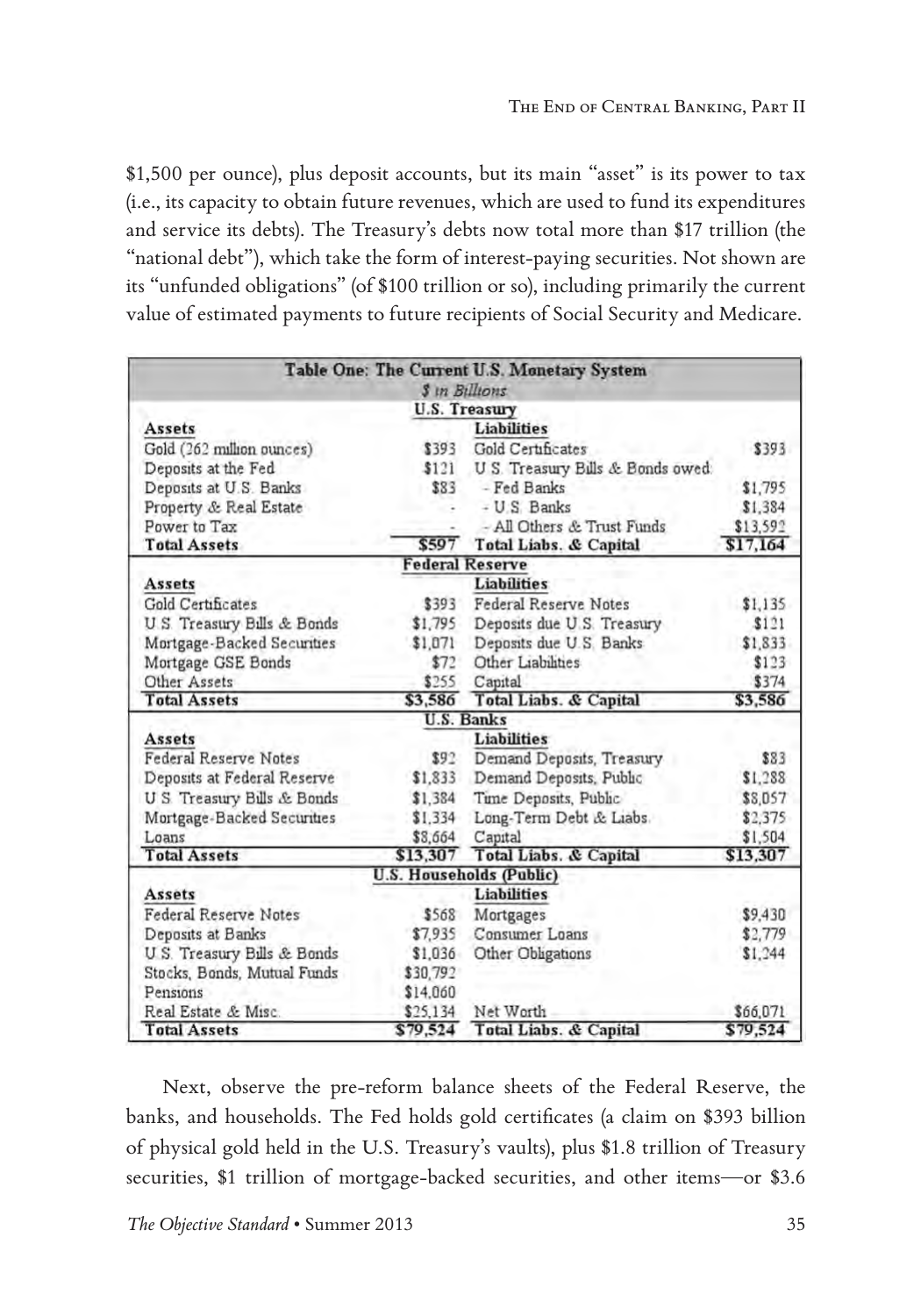\$1,500 per ounce), plus deposit accounts, but its main "asset" is its power to tax (i.e., its capacity to obtain future revenues, which are used to fund its expenditures and service its debts). The Treasury's debts now total more than \$17 trillion (the "national debt"), which take the form of interest-paying securities. Not shown are its "unfunded obligations" (of \$100 trillion or so), including primarily the current value of estimated payments to future recipients of Social Security and Medicare.

|                              |          | Table One: The Current U.S. Monetary System |          |
|------------------------------|----------|---------------------------------------------|----------|
|                              |          | \$ in Billions                              |          |
|                              |          | U.S. Treasury                               |          |
| Assets                       |          | <b>Liabilities</b>                          |          |
| Gold (262 million ounces)    | \$393    | Gold Certificates                           | \$393    |
| Deposits at the Fed          | \$121    | U S. Treasury Bills & Bonds owed:           |          |
| Deposits at U.S. Banks       | \$83     | - Fed Banks                                 | \$1,795  |
| Property & Real Estate       |          | - U.S. Banks                                | \$1,384  |
| Power to Tax                 |          | - All Others & Trust Funds                  | \$13,592 |
| <b>Total Assets</b>          | \$597    | <b>Total Liabs. &amp; Capital</b>           | \$17,164 |
|                              |          | <b>Federal Reserve</b>                      |          |
| Assets                       |          | <b>Liabilities</b>                          |          |
| <b>Gold Certificates</b>     | \$393    | <b>Federal Reserve Notes</b>                | \$1,135  |
| U.S. Treasury Bills & Bonds  | \$1,795  | Deposits due U.S. Treasury                  | \$121    |
| Mortgage-Backed Securities   | \$1,071  | Deposits due U.S. Banks                     | \$1,833  |
| Mortgage GSE Bonds           | \$72     | Other Liabilities                           | \$123    |
| Other Assets                 | \$255    | Capital                                     | \$374    |
| <b>Total Assets</b>          | \$3,586  | Total Liabs. & Capital                      | \$3,586  |
|                              |          | <b>U.S. Banks</b>                           |          |
| Assets                       |          | <b>Liabilities</b>                          |          |
| Federal Reserve Notes        | \$92     | Demand Deposits, Treasury                   | \$83     |
| Deposits at Federal Reserve  | \$1,833  | Demand Deposits, Public                     | \$1,288  |
| U S Treasury Bills & Bonds   | \$1,384  | Time Deposits, Public                       | \$8,057  |
| Mortgage-Backed Securities   | \$1.334  | Long-Term Debt & Liabs.                     | \$2,375  |
| Loans                        | \$8,664  | Capital                                     | \$1.504  |
| <b>Total Assets</b>          | \$13,307 | Total Liabs. & Capital                      | \$13,307 |
|                              |          | <b>U.S. Households (Public)</b>             |          |
| <b>Assets</b>                |          | <b>Liabilities</b>                          |          |
| <b>Federal Reserve Notes</b> | \$568    | Mortgages                                   | \$9,430  |
| Deposits at Banks            | \$7,935  | Consumer Loans                              | \$2,779  |
| U.S. Treasury Bills & Bonds  | \$1,036  | Other Obligations                           | \$1,244  |
| Stocks, Bonds, Mutual Funds  | \$30,792 |                                             |          |
| Pensions                     | \$14,060 |                                             |          |
| Real Estate & Misc.          | \$25,134 | Net Worth                                   | \$66,071 |
| <b>Total Assets</b>          | \$79,524 | Total Liabs. & Capital                      | \$79,524 |

Next, observe the pre-reform balance sheets of the Federal Reserve, the banks, and households. The Fed holds gold certificates (a claim on \$393 billion of physical gold held in the U.S. Treasury's vaults), plus \$1.8 trillion of Treasury securities, \$1 trillion of mortgage-backed securities, and other items—or \$3.6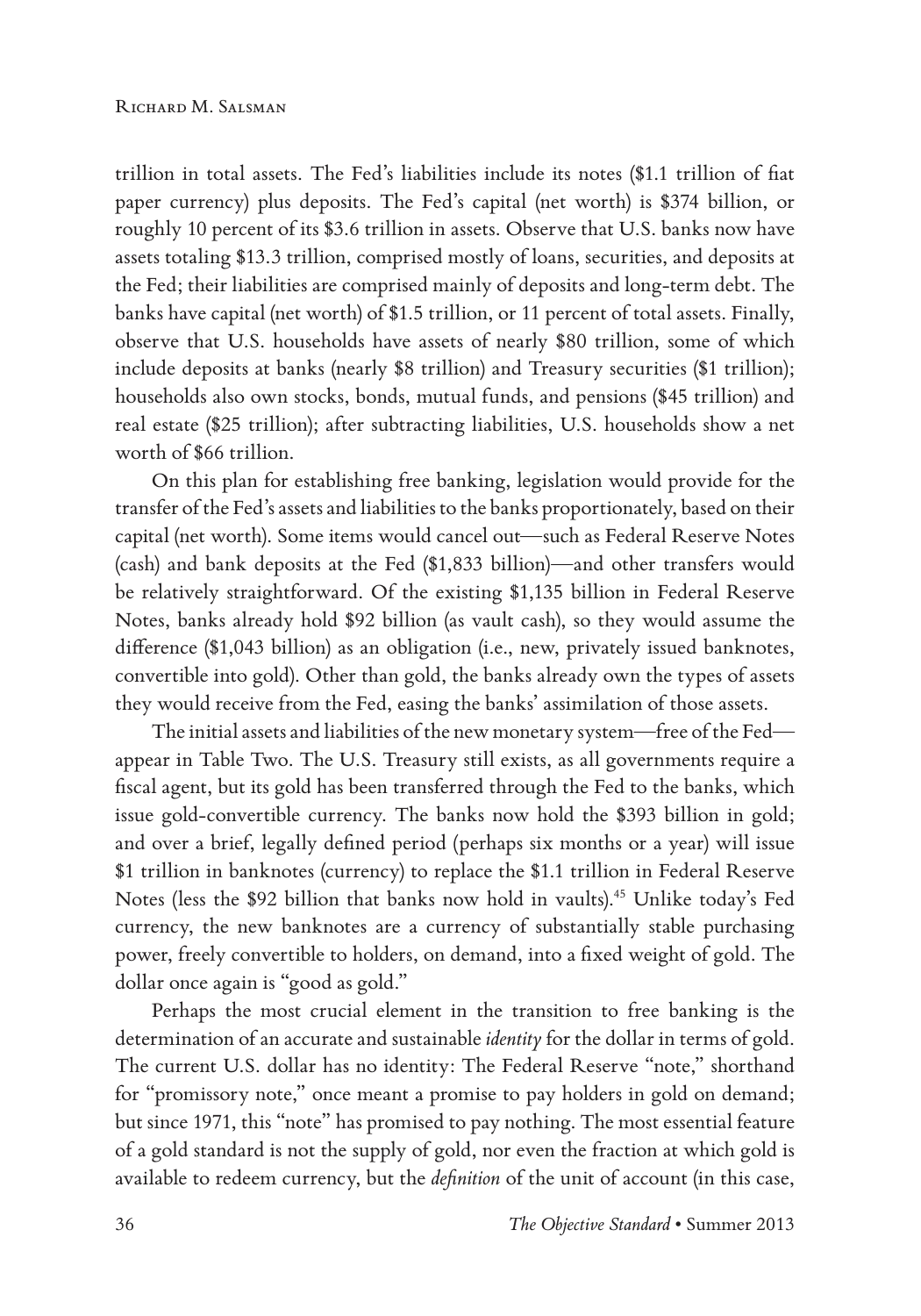trillion in total assets. The Fed's liabilities include its notes (\$1.1 trillion of fiat paper currency) plus deposits. The Fed's capital (net worth) is \$374 billion, or roughly 10 percent of its \$3.6 trillion in assets. Observe that U.S. banks now have assets totaling \$13.3 trillion, comprised mostly of loans, securities, and deposits at the Fed; their liabilities are comprised mainly of deposits and long-term debt. The banks have capital (net worth) of \$1.5 trillion, or 11 percent of total assets. Finally, observe that U.S. households have assets of nearly \$80 trillion, some of which include deposits at banks (nearly \$8 trillion) and Treasury securities (\$1 trillion); households also own stocks, bonds, mutual funds, and pensions (\$45 trillion) and real estate (\$25 trillion); after subtracting liabilities, U.S. households show a net worth of \$66 trillion.

On this plan for establishing free banking, legislation would provide for the transfer of the Fed's assets and liabilities to the banks proportionately, based on their capital (net worth). Some items would cancel out—such as Federal Reserve Notes (cash) and bank deposits at the Fed (\$1,833 billion)—and other transfers would be relatively straightforward. Of the existing \$1,135 billion in Federal Reserve Notes, banks already hold \$92 billion (as vault cash), so they would assume the difference (\$1,043 billion) as an obligation (i.e., new, privately issued banknotes, convertible into gold). Other than gold, the banks already own the types of assets they would receive from the Fed, easing the banks' assimilation of those assets.

The initial assets and liabilities of the new monetary system—free of the Fed appear in Table Two. The U.S. Treasury still exists, as all governments require a fiscal agent, but its gold has been transferred through the Fed to the banks, which issue gold-convertible currency. The banks now hold the \$393 billion in gold; and over a brief, legally defined period (perhaps six months or a year) will issue \$1 trillion in banknotes (currency) to replace the \$1.1 trillion in Federal Reserve Notes (less the \$92 billion that banks now hold in vaults).45 Unlike today's Fed currency, the new banknotes are a currency of substantially stable purchasing power, freely convertible to holders, on demand, into a fixed weight of gold. The dollar once again is "good as gold."

Perhaps the most crucial element in the transition to free banking is the determination of an accurate and sustainable *identity* for the dollar in terms of gold. The current U.S. dollar has no identity: The Federal Reserve "note," shorthand for "promissory note," once meant a promise to pay holders in gold on demand; but since 1971, this "note" has promised to pay nothing. The most essential feature of a gold standard is not the supply of gold, nor even the fraction at which gold is available to redeem currency, but the *definition* of the unit of account (in this case,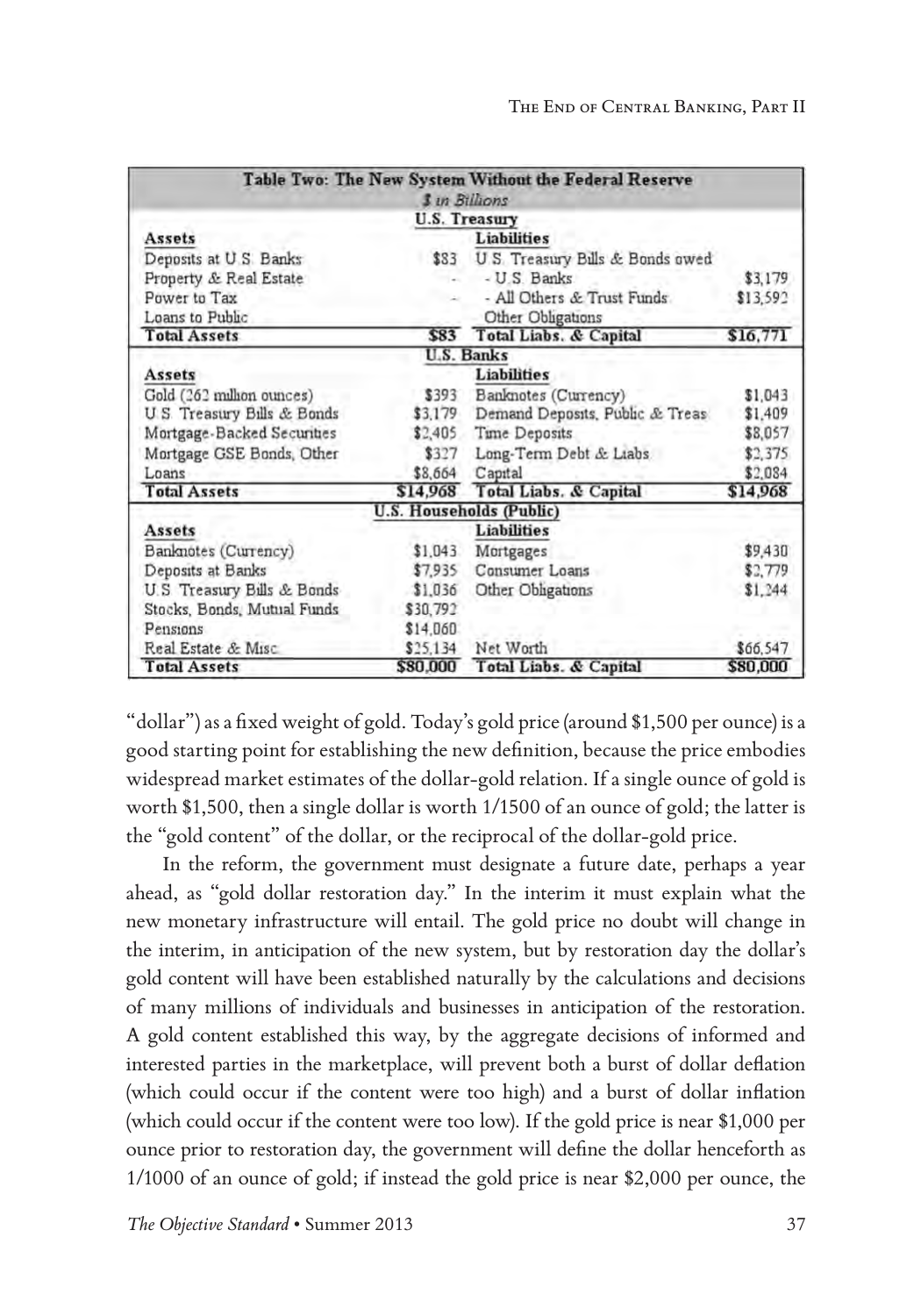|                             |          | Table Two: The New System Without the Federal Reserve |          |
|-----------------------------|----------|-------------------------------------------------------|----------|
|                             |          | <b>3</b> in Billions                                  |          |
|                             |          | U.S. Treasury                                         |          |
| Assets                      |          | <b>Liabilities</b>                                    |          |
| Deposits at U.S. Banks      | \$83     | U.S. Treasury Bills & Bonds owed                      |          |
| Property & Real Estate      |          | - U.S. Banks                                          | \$3,179  |
| Power to Tax                |          | - All Others & Trust Funds                            | \$13,592 |
| Loans to Public             |          | Other Obligations                                     |          |
| <b>Total Assets</b>         |          | \$83 Total Liabs. & Capital                           | \$16,771 |
|                             |          | U.S. Banks                                            |          |
| <b>Assets</b>               |          | Liabilities                                           |          |
| Gold (262 million ounces)   | \$393    | Banknotes (Currency)                                  | \$1,043  |
| U.S. Treasury Bills & Bonds | \$3,179  | Demand Deposits, Public & Treas                       | \$1,409  |
| Mortgage-Backed Securities  | \$2,405  | Time Deposits                                         | \$8,057  |
| Mortgage GSE Bonds, Other   | \$327    | Long-Term Debt & Liabs                                | \$2,375  |
| Loans                       | \$8,664  | Capital                                               | \$2,084  |
| <b>Total Assets</b>         | \$14,968 | Total Liabs. & Capital                                | \$14,968 |
|                             |          | U.S. Households (Public)                              |          |
| Assets                      |          | <b>Liabilities</b>                                    |          |
| Banknotes (Currency)        | \$1,043  | Mortgages                                             | \$9,430  |
| Deposits at Banks           | \$7,935  | Consumer Loans                                        | \$2,779  |
| U.S Treasury Bills & Bonds  | \$1.036  | Other Obligations                                     | \$1,244  |
| Stocks, Bonds, Mutual Funds | \$30,792 |                                                       |          |
| Pensions                    | \$14,060 |                                                       |          |
| Real Estate & Misc          | \$25.134 | Net Worth                                             | \$66,547 |
| <b>Total Assets</b>         | \$80,000 | Total Liabs. & Capital                                | \$80,000 |

"dollar") as a fixed weight of gold. Today's gold price (around \$1,500 per ounce) is a good starting point for establishing the new definition, because the price embodies widespread market estimates of the dollar-gold relation. If a single ounce of gold is worth \$1,500, then a single dollar is worth 1/1500 of an ounce of gold; the latter is the "gold content" of the dollar, or the reciprocal of the dollar-gold price.

In the reform, the government must designate a future date, perhaps a year ahead, as "gold dollar restoration day." In the interim it must explain what the new monetary infrastructure will entail. The gold price no doubt will change in the interim, in anticipation of the new system, but by restoration day the dollar's gold content will have been established naturally by the calculations and decisions of many millions of individuals and businesses in anticipation of the restoration. A gold content established this way, by the aggregate decisions of informed and interested parties in the marketplace, will prevent both a burst of dollar deflation (which could occur if the content were too high) and a burst of dollar inflation (which could occur if the content were too low). If the gold price is near \$1,000 per ounce prior to restoration day, the government will define the dollar henceforth as 1/1000 of an ounce of gold; if instead the gold price is near \$2,000 per ounce, the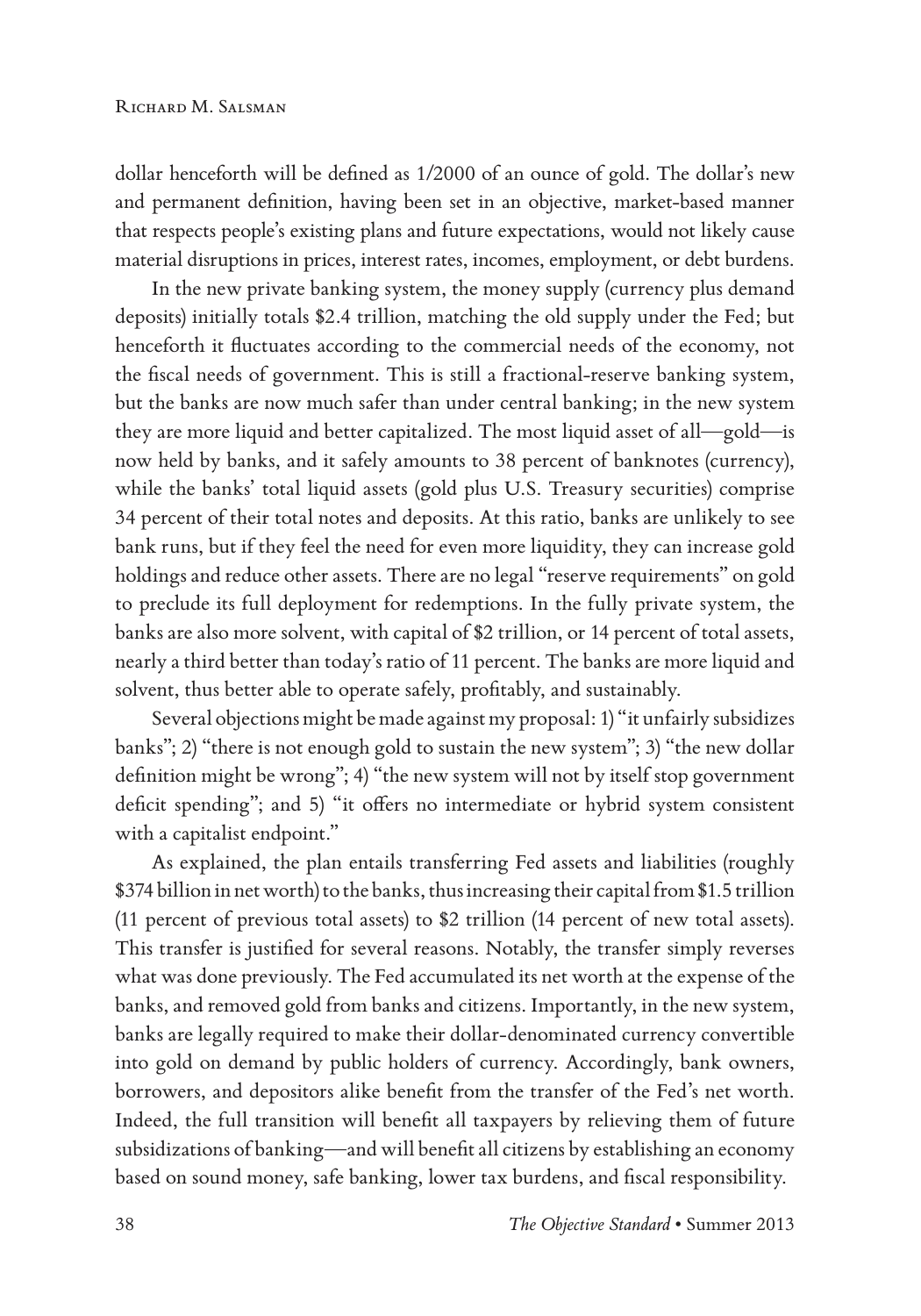dollar henceforth will be defined as 1/2000 of an ounce of gold. The dollar's new and permanent definition, having been set in an objective, market-based manner that respects people's existing plans and future expectations, would not likely cause material disruptions in prices, interest rates, incomes, employment, or debt burdens.

In the new private banking system, the money supply (currency plus demand deposits) initially totals \$2.4 trillion, matching the old supply under the Fed; but henceforth it fluctuates according to the commercial needs of the economy, not the fiscal needs of government. This is still a fractional-reserve banking system, but the banks are now much safer than under central banking; in the new system they are more liquid and better capitalized. The most liquid asset of all—gold—is now held by banks, and it safely amounts to 38 percent of banknotes (currency), while the banks' total liquid assets (gold plus U.S. Treasury securities) comprise 34 percent of their total notes and deposits. At this ratio, banks are unlikely to see bank runs, but if they feel the need for even more liquidity, they can increase gold holdings and reduce other assets. There are no legal "reserve requirements" on gold to preclude its full deployment for redemptions. In the fully private system, the banks are also more solvent, with capital of \$2 trillion, or 14 percent of total assets, nearly a third better than today's ratio of 11 percent. The banks are more liquid and solvent, thus better able to operate safely, profitably, and sustainably.

Several objections might be made against my proposal: 1) "it unfairly subsidizes banks"; 2) "there is not enough gold to sustain the new system"; 3) "the new dollar definition might be wrong"; 4) "the new system will not by itself stop government deficit spending"; and 5) "it offers no intermediate or hybrid system consistent with a capitalist endpoint."

As explained, the plan entails transferring Fed assets and liabilities (roughly \$374 billion in net worth) to the banks, thus increasing their capital from \$1.5 trillion (11 percent of previous total assets) to \$2 trillion (14 percent of new total assets). This transfer is justified for several reasons. Notably, the transfer simply reverses what was done previously. The Fed accumulated its net worth at the expense of the banks, and removed gold from banks and citizens. Importantly, in the new system, banks are legally required to make their dollar-denominated currency convertible into gold on demand by public holders of currency. Accordingly, bank owners, borrowers, and depositors alike benefit from the transfer of the Fed's net worth. Indeed, the full transition will benefit all taxpayers by relieving them of future subsidizations of banking—and will benefit all citizens by establishing an economy based on sound money, safe banking, lower tax burdens, and fiscal responsibility.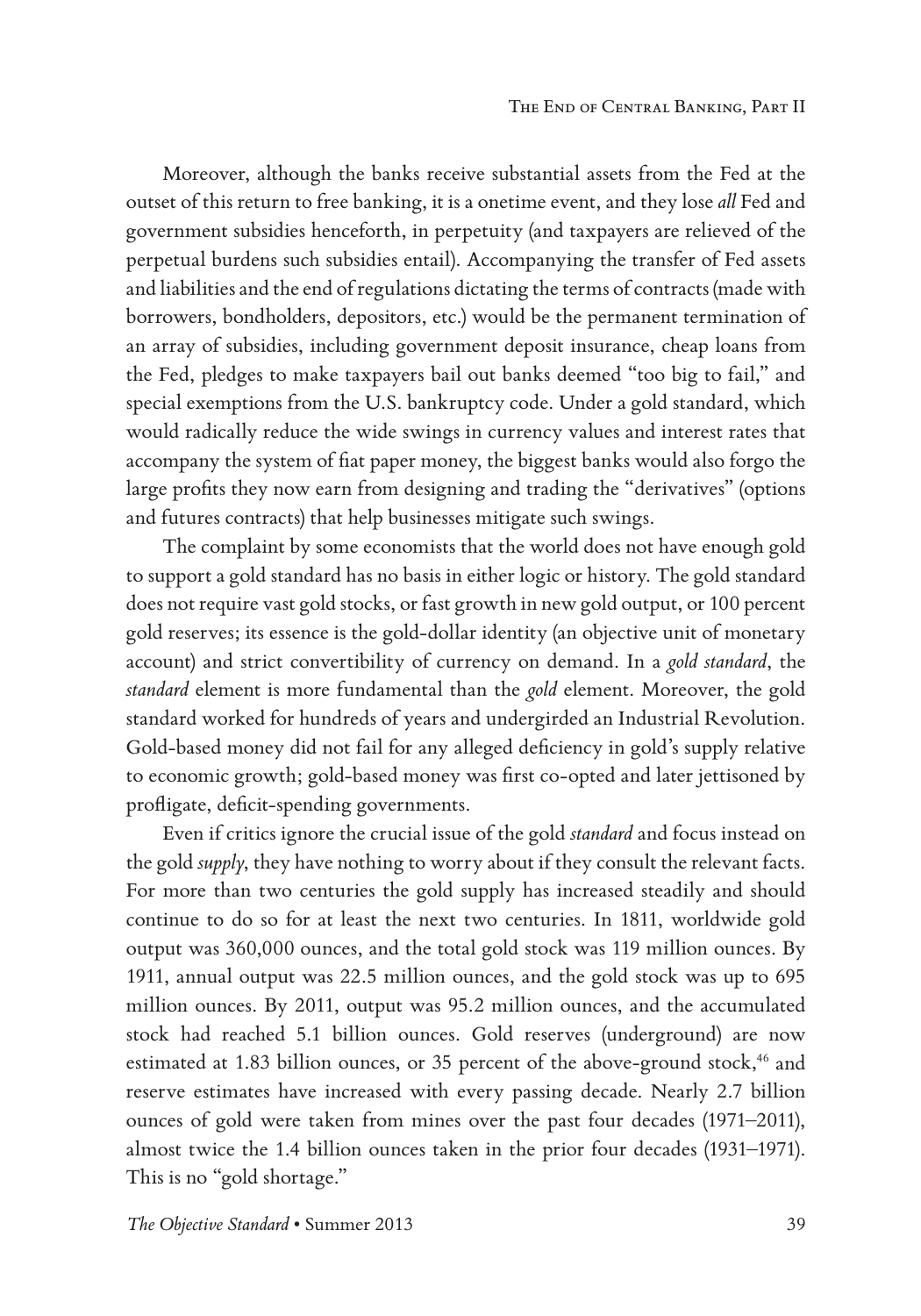Moreover, although the banks receive substantial assets from the Fed at the outset of this return to free banking, it is a onetime event, and they lose *all* Fed and government subsidies henceforth, in perpetuity (and taxpayers are relieved of the perpetual burdens such subsidies entail). Accompanying the transfer of Fed assets and liabilities and the end of regulations dictating the terms of contracts (made with borrowers, bondholders, depositors, etc.) would be the permanent termination of an array of subsidies, including government deposit insurance, cheap loans from the Fed, pledges to make taxpayers bail out banks deemed "too big to fail," and special exemptions from the U.S. bankruptcy code. Under a gold standard, which would radically reduce the wide swings in currency values and interest rates that accompany the system of fiat paper money, the biggest banks would also forgo the large profits they now earn from designing and trading the "derivatives" (options and futures contracts) that help businesses mitigate such swings.

The complaint by some economists that the world does not have enough gold to support a gold standard has no basis in either logic or history. The gold standard does not require vast gold stocks, or fast growth in new gold output, or 100 percent gold reserves; its essence is the gold-dollar identity (an objective unit of monetary account) and strict convertibility of currency on demand. In a *gold standard*, the *standard* element is more fundamental than the *gold* element. Moreover, the gold standard worked for hundreds of years and undergirded an Industrial Revolution. Gold-based money did not fail for any alleged deficiency in gold's supply relative to economic growth; gold-based money was first co-opted and later jettisoned by profligate, deficit-spending governments.

Even if critics ignore the crucial issue of the gold *standard* and focus instead on the gold *supply*, they have nothing to worry about if they consult the relevant facts. For more than two centuries the gold supply has increased steadily and should continue to do so for at least the next two centuries. In 1811, worldwide gold output was 360,000 ounces, and the total gold stock was 119 million ounces. By 1911, annual output was 22.5 million ounces, and the gold stock was up to 695 million ounces. By 2011, output was 95.2 million ounces, and the accumulated stock had reached 5.1 billion ounces. Gold reserves (underground) are now estimated at 1.83 billion ounces, or 35 percent of the above-ground stock,<sup>46</sup> and reserve estimates have increased with every passing decade. Nearly 2.7 billion ounces of gold were taken from mines over the past four decades (1971–2011), almost twice the 1.4 billion ounces taken in the prior four decades (1931–1971). This is no "gold shortage."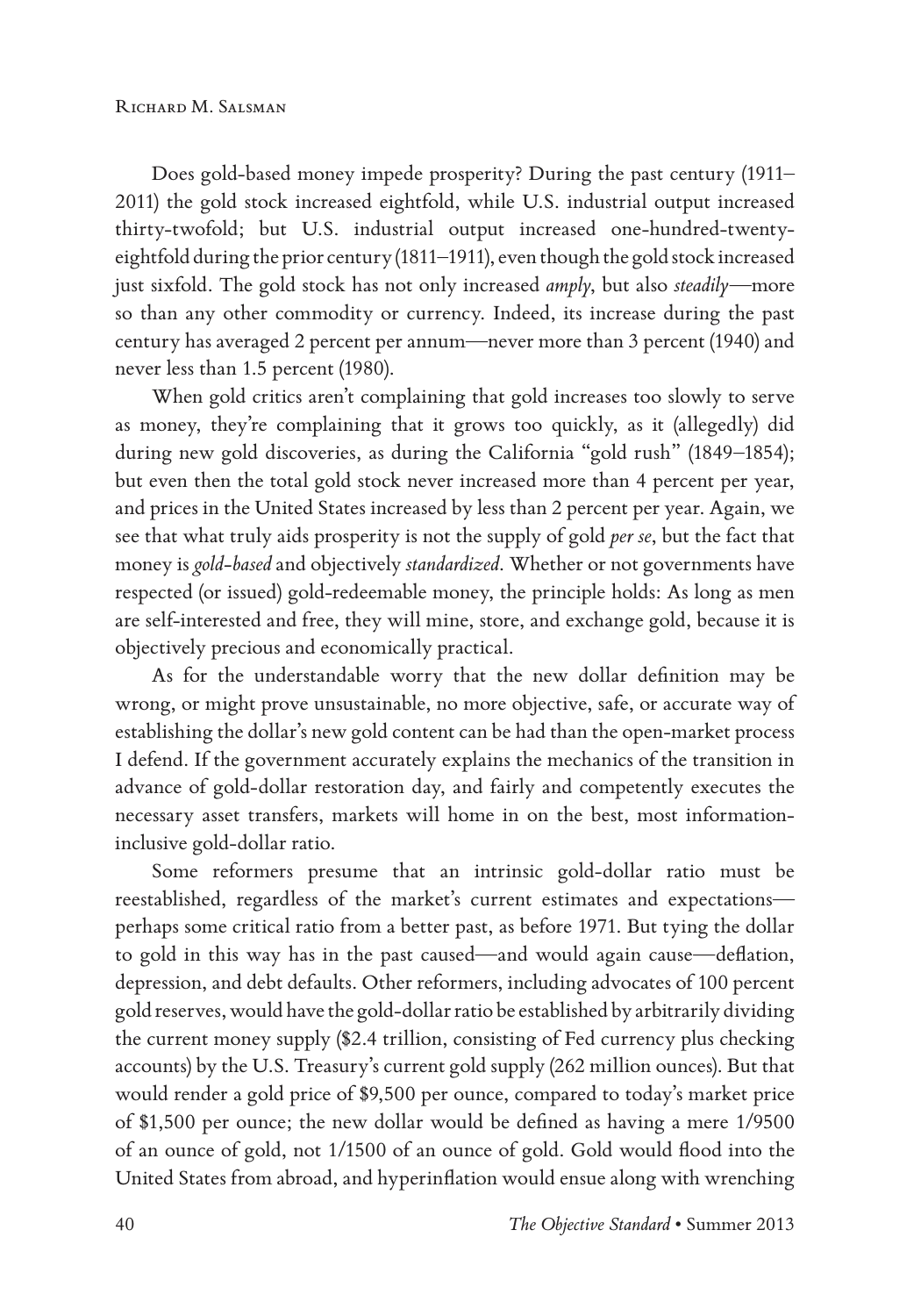Does gold-based money impede prosperity? During the past century (1911– 2011) the gold stock increased eightfold, while U.S. industrial output increased thirty-twofold; but U.S. industrial output increased one-hundred-twentyeightfold during the prior century (1811–1911), even though the gold stock increased just sixfold. The gold stock has not only increased *amply*, but also *steadily*—more so than any other commodity or currency. Indeed, its increase during the past century has averaged 2 percent per annum—never more than 3 percent (1940) and never less than 1.5 percent (1980).

When gold critics aren't complaining that gold increases too slowly to serve as money, they're complaining that it grows too quickly, as it (allegedly) did during new gold discoveries, as during the California "gold rush" (1849–1854); but even then the total gold stock never increased more than 4 percent per year, and prices in the United States increased by less than 2 percent per year. Again, we see that what truly aids prosperity is not the supply of gold *per se*, but the fact that money is *gold-based* and objectively *standardized*. Whether or not governments have respected (or issued) gold-redeemable money, the principle holds: As long as men are self-interested and free, they will mine, store, and exchange gold, because it is objectively precious and economically practical.

As for the understandable worry that the new dollar definition may be wrong, or might prove unsustainable, no more objective, safe, or accurate way of establishing the dollar's new gold content can be had than the open-market process I defend. If the government accurately explains the mechanics of the transition in advance of gold-dollar restoration day, and fairly and competently executes the necessary asset transfers, markets will home in on the best, most informationinclusive gold-dollar ratio.

Some reformers presume that an intrinsic gold-dollar ratio must be reestablished, regardless of the market's current estimates and expectations perhaps some critical ratio from a better past, as before 1971. But tying the dollar to gold in this way has in the past caused—and would again cause—deflation, depression, and debt defaults. Other reformers, including advocates of 100 percent gold reserves, would have the gold-dollar ratio be established by arbitrarily dividing the current money supply (\$2.4 trillion, consisting of Fed currency plus checking accounts) by the U.S. Treasury's current gold supply (262 million ounces). But that would render a gold price of \$9,500 per ounce, compared to today's market price of \$1,500 per ounce; the new dollar would be defined as having a mere 1/9500 of an ounce of gold, not 1/1500 of an ounce of gold. Gold would flood into the United States from abroad, and hyperinflation would ensue along with wrenching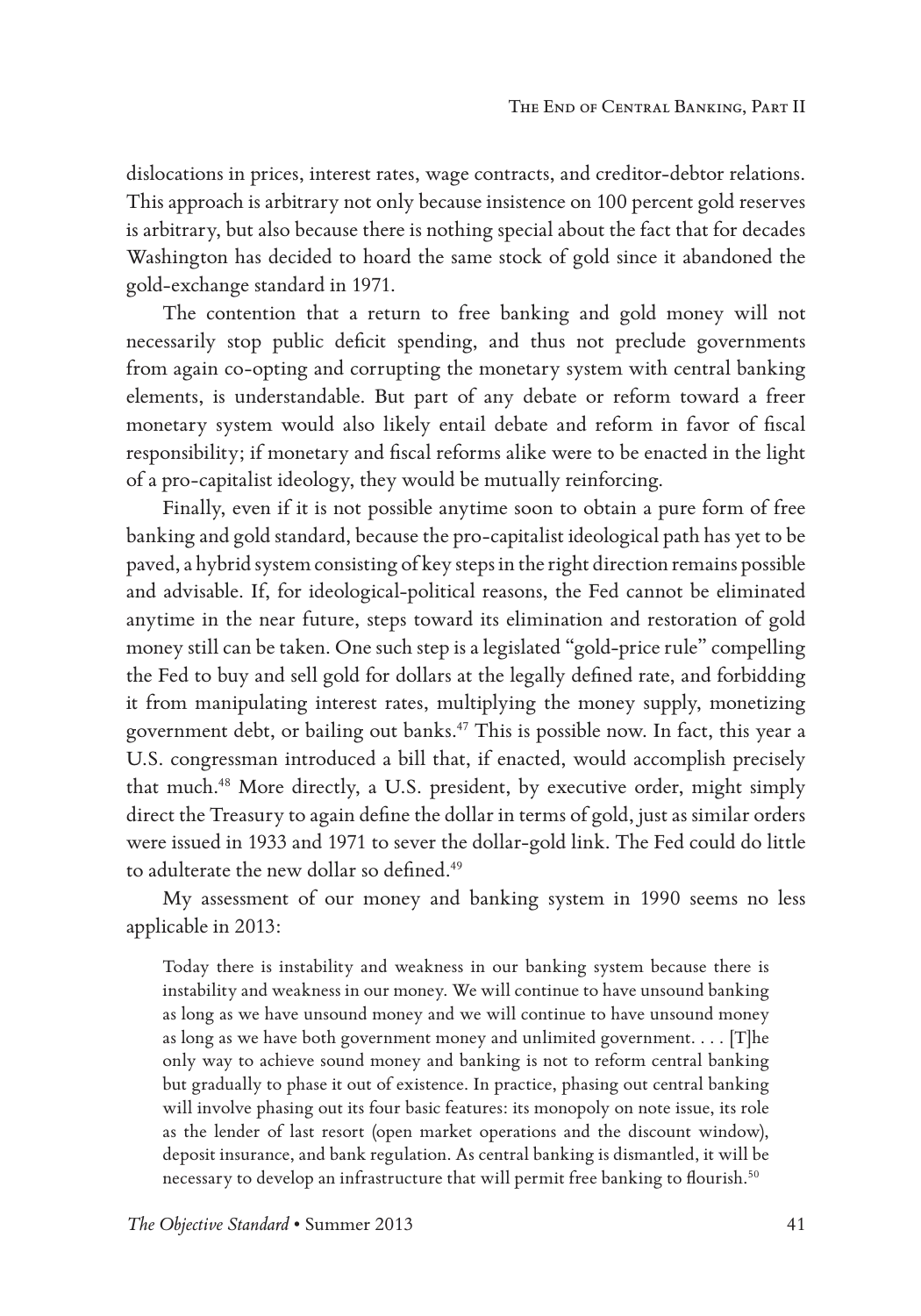dislocations in prices, interest rates, wage contracts, and creditor-debtor relations. This approach is arbitrary not only because insistence on 100 percent gold reserves is arbitrary, but also because there is nothing special about the fact that for decades Washington has decided to hoard the same stock of gold since it abandoned the gold-exchange standard in 1971.

The contention that a return to free banking and gold money will not necessarily stop public deficit spending, and thus not preclude governments from again co-opting and corrupting the monetary system with central banking elements, is understandable. But part of any debate or reform toward a freer monetary system would also likely entail debate and reform in favor of fiscal responsibility; if monetary and fiscal reforms alike were to be enacted in the light of a pro-capitalist ideology, they would be mutually reinforcing.

Finally, even if it is not possible anytime soon to obtain a pure form of free banking and gold standard, because the pro-capitalist ideological path has yet to be paved, a hybrid system consisting of key steps in the right direction remains possible and advisable. If, for ideological-political reasons, the Fed cannot be eliminated anytime in the near future, steps toward its elimination and restoration of gold money still can be taken. One such step is a legislated "gold-price rule" compelling the Fed to buy and sell gold for dollars at the legally defined rate, and forbidding it from manipulating interest rates, multiplying the money supply, monetizing government debt, or bailing out banks.47 This is possible now. In fact, this year a U.S. congressman introduced a bill that, if enacted, would accomplish precisely that much.<sup>48</sup> More directly, a U.S. president, by executive order, might simply direct the Treasury to again define the dollar in terms of gold, just as similar orders were issued in 1933 and 1971 to sever the dollar-gold link. The Fed could do little to adulterate the new dollar so defined.<sup>49</sup>

My assessment of our money and banking system in 1990 seems no less applicable in 2013:

Today there is instability and weakness in our banking system because there is instability and weakness in our money. We will continue to have unsound banking as long as we have unsound money and we will continue to have unsound money as long as we have both government money and unlimited government. . . . [T]he only way to achieve sound money and banking is not to reform central banking but gradually to phase it out of existence. In practice, phasing out central banking will involve phasing out its four basic features: its monopoly on note issue, its role as the lender of last resort (open market operations and the discount window), deposit insurance, and bank regulation. As central banking is dismantled, it will be necessary to develop an infrastructure that will permit free banking to flourish.<sup>50</sup>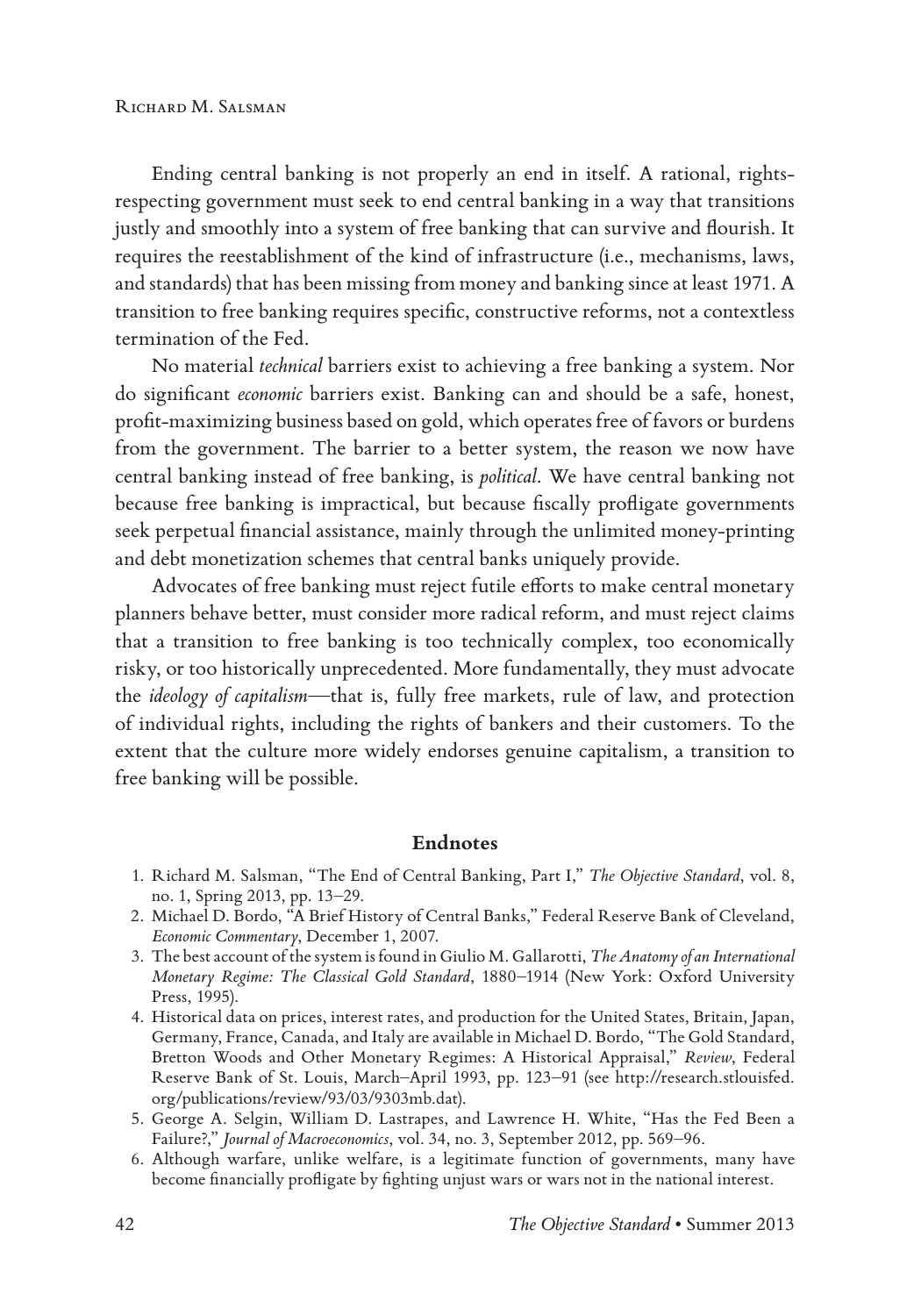Ending central banking is not properly an end in itself. A rational, rightsrespecting government must seek to end central banking in a way that transitions justly and smoothly into a system of free banking that can survive and flourish. It requires the reestablishment of the kind of infrastructure (i.e., mechanisms, laws, and standards) that has been missing from money and banking since at least 1971. A transition to free banking requires specific, constructive reforms, not a contextless termination of the Fed.

No material *technical* barriers exist to achieving a free banking a system. Nor do significant *economic* barriers exist. Banking can and should be a safe, honest, profit-maximizing business based on gold, which operates free of favors or burdens from the government. The barrier to a better system, the reason we now have central banking instead of free banking, is *political*. We have central banking not because free banking is impractical, but because fiscally profligate governments seek perpetual financial assistance, mainly through the unlimited money-printing and debt monetization schemes that central banks uniquely provide.

Advocates of free banking must reject futile efforts to make central monetary planners behave better, must consider more radical reform, and must reject claims that a transition to free banking is too technically complex, too economically risky, or too historically unprecedented. More fundamentally, they must advocate the *ideology of capitalism*—that is, fully free markets, rule of law, and protection of individual rights, including the rights of bankers and their customers. To the extent that the culture more widely endorses genuine capitalism, a transition to free banking will be possible.

#### **Endnotes**

- 1. Richard M. Salsman, "The End of Central Banking, Part I," *The Objective Standard*, vol. 8, no. 1, Spring 2013, pp. 13–29.
- 2. Michael D. Bordo, "A Brief History of Central Banks," Federal Reserve Bank of Cleveland, *Economic Commentary*, December 1, 2007.
- 3. The best account of the system is found in Giulio M. Gallarotti, *The Anatomy of an International Monetary Regime: The Classical Gold Standard*, 1880–1914 (New York: Oxford University Press, 1995).
- 4. Historical data on prices, interest rates, and production for the United States, Britain, Japan, Germany, France, Canada, and Italy are available in Michael D. Bordo, "The Gold Standard, Bretton Woods and Other Monetary Regimes: A Historical Appraisal," *Review*, Federal Reserve Bank of St. Louis, March–April 1993, pp. 123–91 (see http://research.stlouisfed. org/publications/review/93/03/9303mb.dat).
- 5. George A. Selgin, William D. Lastrapes, and Lawrence H. White, "Has the Fed Been a Failure?," *Journal of Macroeconomics*, vol. 34, no. 3, September 2012, pp. 569–96.
- 6. Although warfare, unlike welfare, is a legitimate function of governments, many have become financially profligate by fighting unjust wars or wars not in the national interest.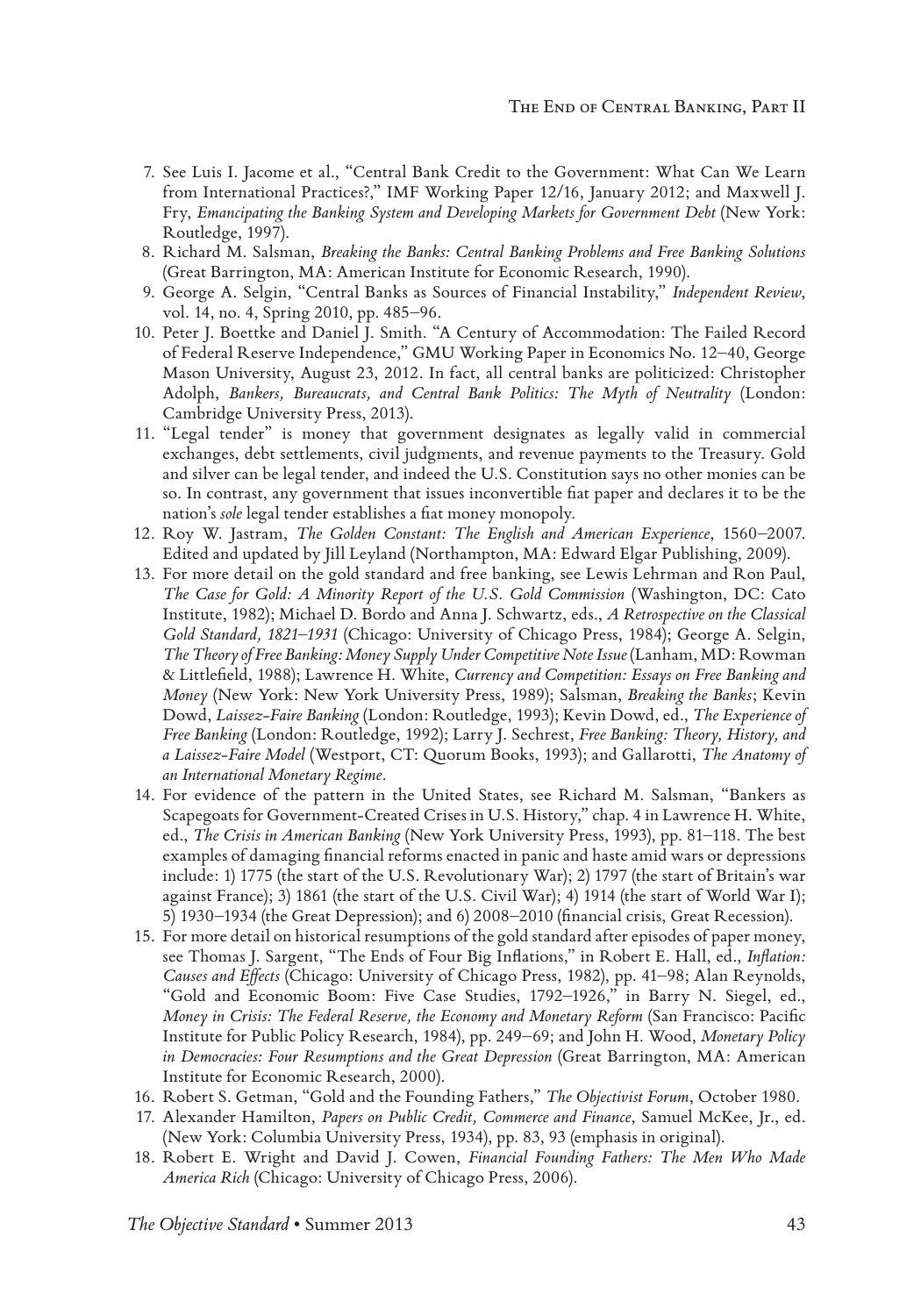- 7. See Luis I. Jacome et al., "Central Bank Credit to the Government: What Can We Learn from International Practices?," IMF Working Paper 12/16, January 2012; and Maxwell J. Fry, *Emancipating the Banking System and Developing Markets for Government Debt* (New York: Routledge, 1997).
- 8. Richard M. Salsman, *Breaking the Banks: Central Banking Problems and Free Banking Solutions* (Great Barrington, MA: American Institute for Economic Research, 1990).
- 9. George A. Selgin, "Central Banks as Sources of Financial Instability," *Independent Review*, vol. 14, no. 4, Spring 2010, pp. 485–96.
- 10. Peter J. Boettke and Daniel J. Smith. "A Century of Accommodation: The Failed Record of Federal Reserve Independence," GMU Working Paper in Economics No. 12–40, George Mason University, August 23, 2012. In fact, all central banks are politicized: Christopher Adolph, *Bankers, Bureaucrats, and Central Bank Politics: The Myth of Neutrality* (London: Cambridge University Press, 2013).
- 11. "Legal tender" is money that government designates as legally valid in commercial exchanges, debt settlements, civil judgments, and revenue payments to the Treasury. Gold and silver can be legal tender, and indeed the U.S. Constitution says no other monies can be so. In contrast, any government that issues inconvertible fiat paper and declares it to be the nation's *sole* legal tender establishes a fiat money monopoly.
- 12. Roy W. Jastram, *The Golden Constant: The English and American Experience*, 1560–2007. Edited and updated by Jill Leyland (Northampton, MA: Edward Elgar Publishing, 2009).
- 13. For more detail on the gold standard and free banking, see Lewis Lehrman and Ron Paul, *The Case for Gold: A Minority Report of the U.S. Gold Commission* (Washington, DC: Cato Institute, 1982); Michael D. Bordo and Anna J. Schwartz, eds., *A Retrospective on the Classical Gold Standard, 1821–1931* (Chicago: University of Chicago Press, 1984); George A. Selgin, *The Theory of Free Banking: Money Supply Under Competitive Note Issue* (Lanham, MD: Rowman & Littlefield, 1988); Lawrence H. White, *Currency and Competition: Essays on Free Banking and Money* (New York: New York University Press, 1989); Salsman, *Breaking the Banks*; Kevin Dowd, *Laissez-Faire Banking* (London: Routledge, 1993); Kevin Dowd, ed., *The Experience of Free Banking* (London: Routledge, 1992); Larry J. Sechrest, *Free Banking: Theory, History, and a Laissez-Faire Model* (Westport, CT: Quorum Books, 1993); and Gallarotti, *The Anatomy of an International Monetary Regime*.
- 14. For evidence of the pattern in the United States, see Richard M. Salsman, "Bankers as Scapegoats for Government-Created Crises in U.S. History," chap. 4 in Lawrence H. White, ed., *The Crisis in American Banking* (New York University Press, 1993), pp. 81–118. The best examples of damaging financial reforms enacted in panic and haste amid wars or depressions include: 1) 1775 (the start of the U.S. Revolutionary War); 2) 1797 (the start of Britain's war against France); 3) 1861 (the start of the U.S. Civil War); 4) 1914 (the start of World War I); 5) 1930–1934 (the Great Depression); and 6) 2008–2010 (financial crisis, Great Recession).
- 15. For more detail on historical resumptions of the gold standard after episodes of paper money, see Thomas J. Sargent, "The Ends of Four Big Inflations," in Robert E. Hall, ed., *Inflation: Causes and Effects* (Chicago: University of Chicago Press, 1982), pp. 41–98; Alan Reynolds, "Gold and Economic Boom: Five Case Studies, 1792–1926," in Barry N. Siegel, ed., *Money in Crisis: The Federal Reserve, the Economy and Monetary Reform* (San Francisco: Pacific Institute for Public Policy Research, 1984), pp. 249–69; and John H. Wood, *Monetary Policy in Democracies: Four Resumptions and the Great Depression* (Great Barrington, MA: American Institute for Economic Research, 2000).
- 16. Robert S. Getman, "Gold and the Founding Fathers," *The Objectivist Forum*, October 1980.
- 17. Alexander Hamilton, *Papers on Public Credit, Commerce and Finance*, Samuel McKee, Jr., ed. (New York: Columbia University Press, 1934), pp. 83, 93 (emphasis in original).
- 18. Robert E. Wright and David J. Cowen, *Financial Founding Fathers: The Men Who Made America Rich* (Chicago: University of Chicago Press, 2006).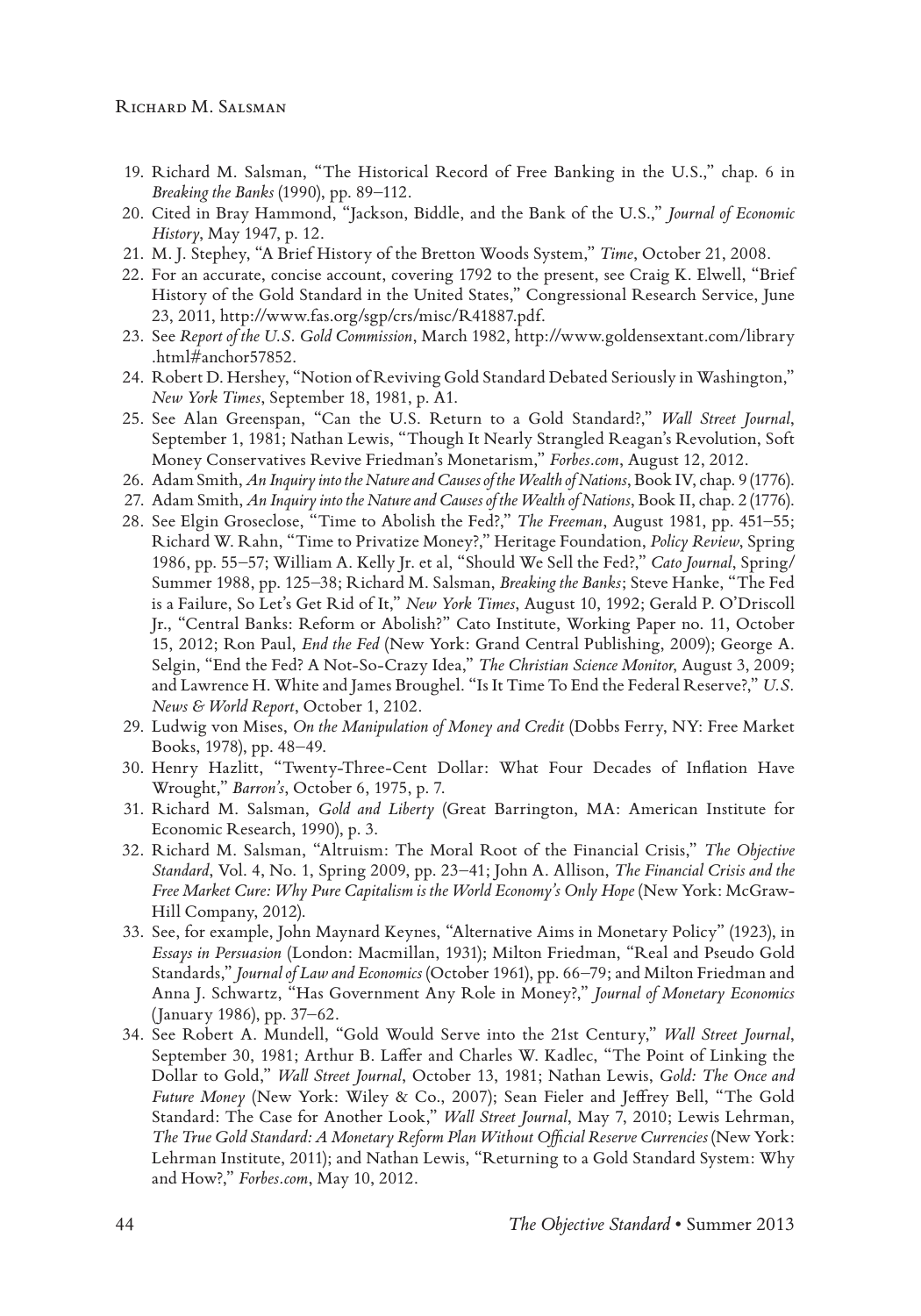- 19. Richard M. Salsman, "The Historical Record of Free Banking in the U.S.," chap. 6 in *Breaking the Banks* (1990), pp. 89–112.
- 20. Cited in Bray Hammond, "Jackson, Biddle, and the Bank of the U.S.," *Journal of Economic History*, May 1947, p. 12.
- 21. M. J. Stephey, "A Brief History of the Bretton Woods System," *Time*, October 21, 2008.
- 22. For an accurate, concise account, covering 1792 to the present, see Craig K. Elwell, "Brief History of the Gold Standard in the United States," Congressional Research Service, June 23, 2011, http://www.fas.org/sgp/crs/misc/R41887.pdf.
- 23. See *Report of the U.S. Gold Commission*, March 1982, http://www.goldensextant.com/library .html#anchor57852.
- 24. Robert D. Hershey, "Notion of Reviving Gold Standard Debated Seriously in Washington," *New York Times*, September 18, 1981, p. A1.
- 25. See Alan Greenspan, "Can the U.S. Return to a Gold Standard?," *Wall Street Journal*, September 1, 1981; Nathan Lewis, "Though It Nearly Strangled Reagan's Revolution, Soft Money Conservatives Revive Friedman's Monetarism," *Forbes.com*, August 12, 2012.
- 26. Adam Smith, *An Inquiry into the Nature and Causes of the Wealth of Nations*, Book IV, chap. 9 (1776).
- 27. Adam Smith, *An Inquiry into the Nature and Causes of the Wealth of Nations*, Book II, chap. 2 (1776).
- 28. See Elgin Groseclose, "Time to Abolish the Fed?," *The Freeman*, August 1981, pp. 451–55; Richard W. Rahn, "Time to Privatize Money?," Heritage Foundation, *Policy Review*, Spring 1986, pp. 55–57; William A. Kelly Jr. et al, "Should We Sell the Fed?," *Cato Journal*, Spring/ Summer 1988, pp. 125–38; Richard M. Salsman, *Breaking the Banks*; Steve Hanke, "The Fed is a Failure, So Let's Get Rid of It," *New York Times*, August 10, 1992; Gerald P. O'Driscoll Jr., "Central Banks: Reform or Abolish?" Cato Institute, Working Paper no. 11, October 15, 2012; Ron Paul, *End the Fed* (New York: Grand Central Publishing, 2009); George A. Selgin, "End the Fed? A Not-So-Crazy Idea," *The Christian Science Monitor*, August 3, 2009; and Lawrence H. White and James Broughel. "Is It Time To End the Federal Reserve?," *U.S. News & World Report*, October 1, 2102.
- 29. Ludwig von Mises, *On the Manipulation of Money and Credit* (Dobbs Ferry, NY: Free Market Books, 1978), pp. 48–49.
- 30. Henry Hazlitt, "Twenty-Three-Cent Dollar: What Four Decades of Inflation Have Wrought," *Barron's*, October 6, 1975, p. 7.
- 31. Richard M. Salsman, *Gold and Liberty* (Great Barrington, MA: American Institute for Economic Research, 1990), p. 3.
- 32. Richard M. Salsman, "Altruism: The Moral Root of the Financial Crisis," *The Objective Standard*, Vol. 4, No. 1, Spring 2009, pp. 23–41; John A. Allison, *The Financial Crisis and the Free Market Cure: Why Pure Capitalism is the World Economy's Only Hope* (New York: McGraw-Hill Company, 2012).
- 33. See, for example, John Maynard Keynes, "Alternative Aims in Monetary Policy" (1923), in *Essays in Persuasion* (London: Macmillan, 1931); Milton Friedman, "Real and Pseudo Gold Standards," *Journal of Law and Economics* (October 1961), pp. 66–79; and Milton Friedman and Anna J. Schwartz, "Has Government Any Role in Money?," *Journal of Monetary Economics*  (January 1986), pp. 37–62.
- 34. See Robert A. Mundell, "Gold Would Serve into the 21st Century," *Wall Street Journal*, September 30, 1981; Arthur B. Laffer and Charles W. Kadlec, "The Point of Linking the Dollar to Gold," *Wall Street Journal*, October 13, 1981; Nathan Lewis, *Gold: The Once and Future Money* (New York: Wiley & Co., 2007); Sean Fieler and Jeffrey Bell, "The Gold Standard: The Case for Another Look," *Wall Street Journal*, May 7, 2010; Lewis Lehrman, *The True Gold Standard: A Monetary Reform Plan Without Official Reserve Currencies* (New York: Lehrman Institute, 2011); and Nathan Lewis, "Returning to a Gold Standard System: Why and How?," *Forbes.com*, May 10, 2012.